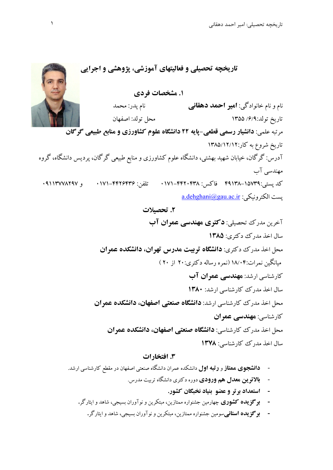**تاريخچه تحصيلي و فعاليتهاي آموزشي، پژوهشي و اجرايي .1 مشخصات فردي**  نام و نام خانوادگي: **امير احمد دهقاني** نام پدر: محمد تاريخ تولد/6/9: 1355 محل تولد: اصفهان مرتبه علمي: **دانشيار رسمي قطعي-پايه 22 دانشگاه علوم كشاورزي و منابع طبيعي گرگان** تاريخ شروع به كار1385/12/12: آدرس: گرگان، خيابان شهيد بهشتي، دانشگاه علوم كشاورزي و منابع طبيعي گرگان، پرديس دانشگاه، گروه مهندسي آب كد پستي:١٥٧٩-١٩٩١٨ فاكس: ٢٤٢٨-٢٣٨ تلفن: ٢٤٢۶٣٣۶-١٧١- و ٩١١٣٧٧٨٢٩٧. a.dehghani@gau.ac.ir : يست الكترونيكي **.2 تحصيلات**  آخرين مدرك تحصيلي: **دكتري مهندسي عمران آب**

> سال اخذ مدرك دكتري: **1385** محل اخذ مدرك دكتري: **دانشگاه تربيت مدرس تهران، دانشكده عمران** ميانگين نمرات18/04: (نمره رساله دكتري20: از 20 ) كارشناسي ارشد: **مهندسي عمران آب**  سال اخذ مدرك كارشناسي ارشد: **1380** محل اخذ مدرك كارشناسي ارشد: **دانشگاه صنعتي اصفهان، دانشكده عمران** كارشناسي: **مهندسي عمران** محل اخذ مدرك كارشناسي: **دانشگاه صنعتي اصفهان، دانشكده عمران**  سال اخذ مدرك كارشناسي: **1378**

## **.3 افتخارات**

- **دانشجوي ممتاز** و **رتبه اول** دانشكده عمران دانشگاه صنعتي اصفهان در مقطع كارشناسي ارشد.
	- **بالاترين معدل هم ورودي** دوره دكتري دانشگاه تربيت مدرس.
		- **- استعداد برتر و عضو بنياد نخبگان كشور.**
	- **- برگزيده كشوري** چهارمين جشنواره ممتازين، مبتكرين و نوآوران بسيجي، شاهد و ايثارگر**.**
		- **- برگزيده استاني**سومين جشنواره ممتازين، مبتكرين و نوآوران بسيجي، شاهد و ايثارگر**.**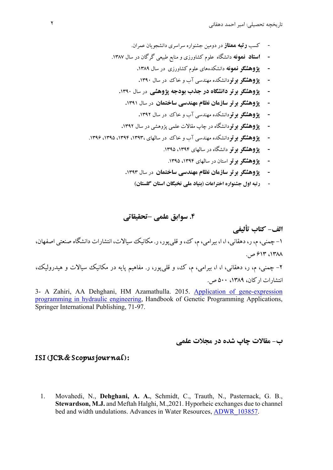- كسب **رتبه ممتاز** در دومين جشنواره سراسري دانشجويان عمران.
- **- استاد نمونه** دانشگاه علوم كشاورزي و منابع طبيعي گرگان در سال .1387
	- **- پژوهشگر نمونه** دانشكدههاي علوم كشاورزي در سال **.**1389
	- **- پژوهشگر برتر**دانشكده مهندسي آب و خاك در سال **.**1390
	- **- پژوهشگر برتر دانشگاه در جذب بودجه پژوهشي** در سال **.**1390
		- **- پژوهشگر برتر سازمان نظام مهندسي ساختمان** در سال **.**1391
			- **- پژوهشگر برتر**دانشكده مهندسي آب و خاك در سال **.**1392
	- **- پژوهشگر برتر**دانشگاه در چاپ مقالات علمي پژوهشي در سال **.**1392
- **- پژوهشگر برتر**دانشكده مهندسي آب و خاك در سالهاي ،1393، ،1394 ،1395 .1396
	- **- پژوهشگر برتر** دانشگاه در سالهاي ،1394 .1395
		- **- پژوهشگر برتر** استان در سالهاي ،1394 .1395
	- **- پژوهشگر برتر سازمان نظام مهندسي ساختمان** در سال **.**1393
		- **- رتبه اول جشنواره اختراعات (بنياد ملي نخبگان استان گلستان)**

**.4 سوابق علمي –تحقيقاتي** 

**الف- كتاب تأليفي**  -1 چمني،م،ر،دهقاني، ا، ا، بيرامي،م، ك،وقليپور،ر. مكانيك سيالات، انتشارات دانشگاه صنعتي اصفهان، ،1٣٨٨  $917^\circ$ ص. -2 چمني، م، ر، دهقاني، ا، ا، بيرامي، م، ك، و قليپور، ر. مفاهيم پايه در مكانيك سيالات و هيدروليك،

انتشارات اركان، ١٣٨٩، ٥٠٠ ص.

3- A Zahiri, AA Dehghani, HM Azamathulla. 2015. Application of gene-expression programming in hydraulic engineering, Handbook of Genetic Programming Applications, Springer International Publishing, 71-97.

## **ب- مقالات چاپ شده در مجلات علمي**

#### ISI (JCR & Scopus journal):

1. Movahedi, N., **Dehghani, A. A.**, Schmidt, C., Trauth, N., Pasternack, G. B., **Stewardson, M.J.** and Meftah Halghi, M.,2021. Hyporheic exchanges due to channel bed and width undulations. Advances in Water Resources, **ADWR** 103857.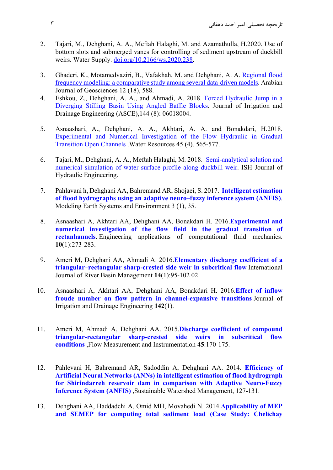- 2. Tajari, M., Dehghani, A. A., Meftah Halaghi, M. and Azamathulla, H.2020. Use of bottom slots and submerged vanes for controlling of sediment upstream of duckbill weirs. Water Supply. doi.org/10.2166/ws.2020.238.
- 3. Ghaderi, K., Motamedvaziri, B., Vafakhah, M. and Dehghani, A. A. Regional flood frequency modeling: a comparative study among several data-driven models. Arabian Journal of Geosciences 12 (18), 588.
- 4. Eshkou, Z., Dehghani, A. A., and Ahmadi, A. 2018. Forced Hydraulic Jump in a Diverging Stilling Basin Using Angled Baffle Blocks. Journal of Irrigation and Drainage Engineering (ASCE),144 (8): 06018004.
- 5. Asnaashari, A., Dehghani, A. A., Akhtari, A. A. and Bonakdari, H.2018. Experimental and Numerical Investigation of the Flow Hydraulic in Gradual Transition Open Channels .Water Resources 45 (4), 565-577.
- 6. Tajari, M., Dehghani, A. A., Meftah Halaghi, M. 2018. Semi-analytical solution and numerical simulation of water surface profile along duckbill weir. ISH Journal of Hydraulic Engineering.
- 7. Pahlavani h, Dehghani AA, Bahremand AR, Shojaei, S. 2017. **Intelligent estimation of flood hydrographs using an adaptive neuro–fuzzy inference system (ANFIS)**. Modeling Earth Systems and Environment 3 (1), 35.
- 8. Asnaashari A, Akhtari AA, Dehghani AA, Bonakdari H. 2016.**Experimental and numerical investigation of the flow field in the gradual transition of rectanhannels**. Engineering applications of computational fluid mechanics. **10**(1):273-283.
- 9. Ameri M, Dehghani AA, Ahmadi A. 2016.**Elementary discharge coefficient of a triangular–rectangular sharp-crested side weir in subcritical flow** International Journal of River Basin Management **14**(1):95-102 02.
- 10. Asnaashari A, Akhtari AA, Dehghani AA, Bonakdari H. 2016.**Effect of inflow froude number on flow pattern in channel-expansive transitions** Journal of Irrigation and Drainage Engineering **142**(1).
- 11. Ameri M, Ahmadi A, Dehghani AA. 2015.**Discharge coefficient of compound triangular-rectangular sharp-crested side weirs in subcritical flow conditions** ,Flow Measurement and Instrumentation **45**:170-175.
- 12. Pahlevani H, Bahremand AR, Sadoddin A, Dehghani AA. 2014. **Efficiency of Artificial Neural Networks (ANNs) in intelligent estimation of flood hydrograph for Shirindarreh reservoir dam in comparison with Adaptive Neuro-Fuzzy Inference System (ANFIS)** ,Sustainable Watershed Management, 127-131.
- 13. Dehghani AA, Haddadchi A, Omid MH, Movahedi N. 2014.**Applicability of MEP and SEMEP for computing total sediment load (Case Study: Chelichay**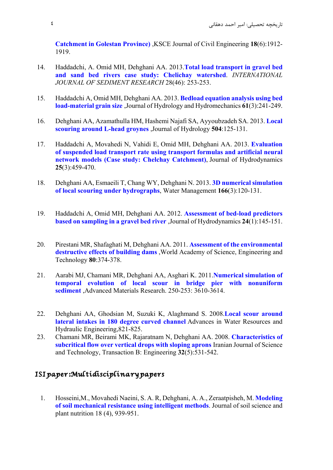**Catchment in Golestan Province)** ,KSCE Journal of Civil Engineering **18**(6):1912- 1919.

- 14. Haddadchi, A. Omid MH, Dehghani AA. 2013.**Total load transport in gravel bed and sand bed rivers case study: Chelichay watershed**. *INTERNATIONAL JOURNAL OF SEDIMENT RESEARCH* 28(46): 253-253.
- 15. Haddadchi A, Omid MH, Dehghani AA. 2013. **Bedload equation analysis using bed load-material grain size** ,Journal of Hydrology and Hydromechanics **61**(3):241-249.
- 16. Dehghani AA, Azamathulla HM, Hashemi Najafi SA, Ayyoubzadeh SA. 2013. **Local scouring around L-head groynes** ,Journal of Hydrology **504**:125-131.
- 17. Haddadchi A, Movahedi N, Vahidi E, Omid MH, Dehghani AA. 2013. **Evaluation of suspended load transport rate using transport formulas and artificial neural network models (Case study: Chelchay Catchment)**, Journal of Hydrodynamics **25**(3):459-470.
- 18. Dehghani AA, Esmaeili T, Chang WY, Dehghani N. 2013. **3D numerical simulation of local scouring under hydrographs**, Water Management **166**(3):120-131.
- 19. Haddadchi A, Omid MH, Dehghani AA. 2012. **Assessment of bed-load predictors based on sampling in a gravel bed river** ,Journal of Hydrodynamics **24**(1):145-151.
- 20. Pirestani MR, Shafaghati M, Dehghani AA. 2011. **Assessment of the environmental destructive effects of building dams** ,World Academy of Science, Engineering and Technology **80**:374-378.
- 21. Aarabi MJ, Chamani MR, Dehghani AA, Asghari K. 2011.**Numerical simulation of temporal evolution of local scour in bridge pier with nonuniform sediment** ,Advanced Materials Research. 250-253: 3610-3614.
- 22. Dehghani AA, Ghodsian M, Suzuki K, Alaghmand S. 2008.**Local scour around lateral intakes in 180 degree curved channel** Advances in Water Resources and Hydraulic Engineering,821-825.
- 23. Chamani MR, Beirami MK, Rajaratnam N, Dehghani AA. 2008. **Characteristics of subcritical flow over vertical drops with sloping aprons** Iranian Journal of Science and Technology, Transaction B: Engineering **32**(5):531-542.

## ISI paper:Multidisciplinary papers

1. Hosseini,M., Movahedi Naeini, S. A. R, Dehghani, A. A., Zeraatpisheh, M. **Modeling of soil mechanical resistance using intelligent methods**. Journal of soil science and plant nutrition 18 (4), 939-951.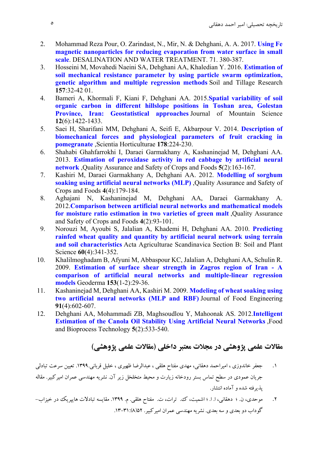- 2. Mohammad Reza Pour, O. Zarindast, N., Mir, N. & Dehghani, A. A. 2017. **Using Fe magnetic nanoparticles for reducing evaporation from water surface in small scale**. DESALINATION AND WATER TREATMENT. 71. 380-387.
- 3. Hosseini M, Movahedi Naeini SA, Dehghani AA, Khaledian Y. 2016. **Estimation of soil mechanical resistance parameter by using particle swarm optimization, genetic algorithm and multiple regression methods** Soil and Tillage Research **157**:32-42 01.
- 4. Bameri A, Khormali F, Kiani F, Dehghani AA. 2015.**Spatial variability of soil organic carbon in different hillslope positions in Toshan area, Golestan Province, Iran: Geostatistical approaches** Journal of Mountain Science **12**(6):1422-1433.
- 5. Saei H, Sharifani MM, Dehghani A, Seifi E, Akbarpour V. 2014. **Description of biomechanical forces and physiological parameters of fruit cracking in pomegranate** ,Scientia Horticulturae **178**:224-230.
- 6. Shahabi Ghahfarrokhi I, Daraei Garmakhany A, Kashaninejad M, Dehghani AA. 2013. **Estimation of peroxidase activity in red cabbage by artificial neural network** ,Quality Assurance and Safety of Crops and Foods **5**(2):163-167.
- 7. Kashiri M, Daraei Garmakhany A, Dehghani AA. 2012. **Modelling of sorghum soaking using artificial neural networks (MLP)** ,Quality Assurance and Safety of Crops and Foods **4**(4):179-184.
- 8. Aghajani N, Kashaninejad M, Dehghani AA, Daraei Garmakhany A. 2012.**Comparison between artificial neural networks and mathematical models for moisture ratio estimation in two varieties of green malt** ,Quality Assurance and Safety of Crops and Foods **4**(2):93-101.
- 9. Norouzi M, Ayoubi S, Jalalian A, Khademi H, Dehghani AA. 2010. **Predicting rainfed wheat quality and quantity by artificial neural network using terrain and soil characteristics** Acta Agriculturae Scandinavica Section B: Soil and Plant Science **60**(4):341-352.
- 10. Khalilmoghadam B, Afyuni M, Abbaspour KC, Jalalian A, Dehghani AA, Schulin R. 2009. **Estimation of surface shear strength in Zagros region of Iran - A comparison of artificial neural networks and multiple-linear regression models** Geoderma **153**(1-2):29-36.
- 11. Kashaninejad M, Dehghani AA, Kashiri M. 2009. **Modeling of wheat soaking using two artificial neural networks (MLP and RBF)** Journal of Food Engineering **91**(4):602-607.
- 12. Dehghani AA, Mohammadi ZB, Maghsoudlou Y, Mahoonak AS. 2012.**Intelligent Estimation of the Canola Oil Stability Using Artificial Neural Networks** ,Food and Bioprocess Technology **5**(2):533-540.

# **مقالات علمي پژوهشي در مجلات معتبر داخلي (مقالات علمي پژوهشي)**

- .1 جعفر خاندوزي ، اميراحمد دهقاني، مهدي مفتاح هلقي ، عبدالرضا ظهيري ، خليل قرباني.1399. تعيين سرعت تبادلي جريان عمودي در سطح تماس بستر رودخانه زيارت و محيط متخلخل زير آن. نشريه مهندسي عمران اميركبير. مقاله پذيرفته شده و آماده انتشار.
- .2 موحدي، ن. ؛ دهقاني، ا. ا. ؛ اشميت، ك. ترات، ت. مفتاح هلقي. م. .1399 مقايسه تبادلات هايپريك در خيزاب- گوداب دو بعدي و سه بعدي. نشريه مهندسي عمران اميركبير. 52(8).13-31: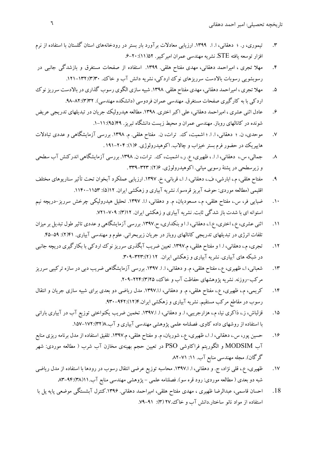تاريخچه تحصيلي: امير احمد دهقاني ٦

- .3 تيموري، ر. ؛ دهقاني، ا. ا. .1399 ارزيابي معادلات برآورد بار بستر در رودخانههاي استان گلستان با استفاده از نرم افزار توسعه يافته STE. نشريه مهندسي عمران اميركبير. 52(11).6-20:
- .4 مهلا تجري ، اميراحمد دهقاني، مهدي مفتاح هلقي. .1399 استفاده از صفحات مستغرق و بازشدگي جانبي در رسوبشويي رسوبات بالادست سرريزهاي نوك اردكي، نشريه دانش آب و خاك. ١٣٢:(٣)٣٠-١٢١.
- ۵. مهلا تجري ، اميراحمد دهقاني، مهدي مفتاح هلقي. ١٣٩٨. شبيه سازي الگوي رسوب گذاري در بالادست سرريز نوك اردكي با به كارگيري صفحات مستغرق. مهندسي عمران فردوسي (دانشكده مهندسي). 32(3).98-82:
- .6 عادل اثني عشري ، اميراحمد دهقاني،علي اكبراختري. .1398 مطالعه هيدروليك جريان در تبديلهاي تدريجي عريض شونده در كانالهاي روباز. مهندسي عمران و محيط زيست دانشگاه تبريز. 49(95).1-11:
- .7 موحدي، ن. ؛ دهقاني، ا. ا. ؛ اشميت، ك. ترات، ن. مفتاح هلقي. م. .1398 بررسي آزمايشگاهي و عددي تبادلات هايپريك در حضور فرم بستر خيزاب و چالاب. اكوهيدرولوژي. 6(1): 191-204 .
- .8 جمالي، س،. دهقاني، ا. ا. ، ظهيري، ع. ر،. اشميت، ك. ترات، ن. .1398 بررسي آزمايشگاهي اندركنش آب سطحي و زيرسطحي در پشتة رسوبي مياني. اكوهيدرولوژي. 6(2): 339-323 .
- .9 مفتاح هلقي، م،. ابارشي، ف،. دهقاني، ا. ا،. قرباني، خ. .1397 ارزيابي عملكرد آبخوان تحت تأثير سناريوهاي مختلف اقليمي (مطالعه موردي: حوضه آبريز قرهسو). نشريه آبياري و زهكشي ايران. ١١(۵): ١١٩٣–١١۴٠.
- .10 ضيايي فر، س،. مفتاح هلقي، م،. مسعوديان، م. و دهقاني، ا.ا. .1397 تحليل هيدروليكي چرخش سرريز-دريچه نيم استوانه اي با شدت باز شدگي ثابت. نشريه آبياري و زهكشي ايران. ٢((٣): ٧٠٩-٧٢١.
- .11 اثني عشري، ع،. اختري، ع.ا،.دهقاني، ا. اوبنكداري، ح.1397. بررسي آزمايشگاهي وعددي تاثير طول تبديل برميزان تلفات انرژي در تبديلهاي تدريجي كانالهاي روباز در جريان زيربحراني. علوم و مهندسي آبياري. ۶۱(۲): ۵۹-۴۵.
- .12 تجري، م،. دهقاني، ا. ا و مفتاح هلقي، م.1397. تعيين ضريب آبگذري سرريزنوك اردكي با بكارگيري دريچه جانبي در شبكه هاي آبياري. نشريه آبياري و زهكشي ايران. ١٢ (٢):٢٢٣-٣٠٩.
- .13 شعباني، ا،. ظهيري، ع،. مفتاح هلقي، م. و دهقاني، ا. ا. .1397 بررسي آزمايشگاهي ضريب دبي در سازه تركيبي سرريز مركب-روزنه. نشريه پژوهشهاي حفاظت آب و خاك، 25(3).209-224:
- .14 كريمي، م،. ظهيري، ع،. مفتاح هلقي، م. و دهقاني، ا.ا.1397. مدل رياضي دو بعدي براي شبيه سازي جريان و انتقال رسوب در مقاطع مركب مستقيم. نشريه آبياري و زهكشي ايران4.(12).930-942:
- .15 قزلباش، ز،. ذاكري نيا، م،. هزارجريبي، ا. و دهقاني، ا. ا.1397. تخمين ضريب يكنواختي توزيع آب در آبياري باراني با استفاده از روشهاي داده كاوي. فصلنامه علمي پژوهشي مهندسي آبياري و آب8.(32).157-172:
- .16 حسين پور، س،. دهقاني، ا. ا،. ظهيري، ع،. شوريان، م. و مفتاح هلقي، م.1397. تلفيق استفاده از مدل برنامه ريزي منابع آب MODSIM و الگوريتم فراكاوشي PSO در تعيين حجم بهينهي مخازن آب شرب ( مطالعه موردي: شهر گرگان). مجله مهندسی منابع آب. ۱۱: ۷۱–۸۲
- .17 ظهيري، ع،. قلي نژاد، ج. و دهقاني، ا. ا.1397. محاسبه توزيع عرضي انتقال رسوب در رودها با استفاده از مدل رياضي شبه دو بعدي ( مطالعه موردي: رود قره سو). فصلنامه علمي - پژوهشي مهندسي منابع آب11.(38).83-94:
- .<br>18. احسان قاسمي، عبدالرضا ظهيري ، مهدي مفتاح هلقي، اميراحمد دهقاني. ١٣٩۶.كنترل آبشستگي موضعي پايه پل با استفاده از مواد نانو ساختار.دانش آب و خاك27. (3): .79-91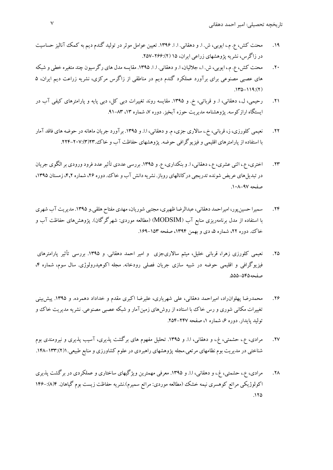- .19 محنت كش، ع. م،. ايوبي، ش. ا. و دهقاني. ا. ا. .1396 تعيين عوامل موثردر توليد گندم ديم به كمك آناليز حساسيت در زاگرس، نشريه پژوهشهاي زراعي ايران، 15 (2).257-266:
- .20 محنت كش، ع. م،. ايوبي، ش. ا،. جلاليان، ا. ودهقاني. ا. ا. .1395 مقايسهمدل هاي رگرسيون چند متغيره خطي و شبكه هاي عصبي مصنوعي براي برآورد عملكرد گندم ديم در مناطقي از زاگرس مركزي، نشريه زراعت ديم ايران، 5  $.142 - 119$ :(2)
- .21 رحيمي، ل،. دهقاني، ا. و قرباتي، خ. و .1395 مقايسه روند تغييرات دبي كل، دبي پايه و پارامترهاي كيفي آب در ايستگاه ارازكوسه. پژوهشنامه مديريت حوزه آبخيز. دوره ۷، شماره ۱۳، ۸۳-۹۱.
- .22 نعيمي كلورزي،ز، قرباني، خ،. سالاري جزي،م. ودهقاني، ا.ا. و .1395 برآورد جريان ماهانه در حوضه هاي فاقد آمار با استفاده از پارامترهاي اقليمي و فيزيوگرافي حوضه. پژوهشهاي حفاظت آب و خاك23.(3).224-207:
- ٢٣. اختري، ع.. اثني عشري، ع.، دهقاني، ا. و بنكداري، ع. و ١٣٩٥. بررسي عددي تأثير عدد فرود ورودي بر الگوي جريان در تبديل هاي عريض شونده تدريجي دركانالهاي روباز. نشريه دانش آب و خاك. دوره ۲۶، شماره ۶٫۲، زمستان ۱۳۹۵، صفحه .108-97
- .24 سميرا حسينپور، اميراحمد دهقاني،عبدالرضا ظهيري، مجتبي شوريان، مهدي مفتاح هلقي.و .1395 مديريت آب شهري با استفاده از مدل برنامهريزي منابع آب (MODSIM) (مطالعه موردي: شهرگرگان). پژوهشهاي حفاظت آب و خاك. دوره ۲۲، شماره ۵، دي و بهمن ۱۳۹۴، صفحه ۱۵۳–۱۶۹.
- .25 نعيمي كلورزي زهرا، قرباني خليل، ميثم سالاريجزي و امير احمد دهقاني. و .1395 بررسي تأثير پارامترهاي فيزيوگرافي و اقليمي حوضه در شبيه سازي جريان فصلي رودخانه. مجله اكوهيدرولوژي. سال سوم، شماره ۴، صفحه.555-545
- ۲۶. محمدرضا پهلوان(اد، اميراحمد دهقاني، علي شهرياري، عليرضا اكبري مقدم و خداداد دهمرده. و ١٣٩٥. پيش پيني تغييرات مكاني شوري و رس خاك با استاده از روشهاي زمينآمار و شبكه عصبي مصنوعي. نشريه مديريت خاك و توليد پايدار. دوره ۶، شماره ۱، صفحه ۲۴۷-۲۵۴.
- .27 مرادي، ع،. حشمتي، غ،. و دهقاني، ا.ا. و .1395 تحليل مفهوم هاي برگشت پذيري، آسيب پذيري و نيرومندي بوم شناختي در مديريت بوم نظامهاي مرتعي.مجله پژوهشهاي راهبردي در علوم كشاورزي و منابع طبيعي1.(2).148-133:
- ۲۸. مرادي، ع.، حشمتي، غ.، و دهقاني، ا.ا. و ۱۳۹۵. معرفي مهمترين ويژگيهاي ساختاري و عملكردي در برگشت پذيري اكولوژيكي مراتع كوهسري نيمه خشك (مطالعه موردي: مراتع سميرم).نشريه حفاظت زيست بوم گياهان. 4(8)146-:  $170$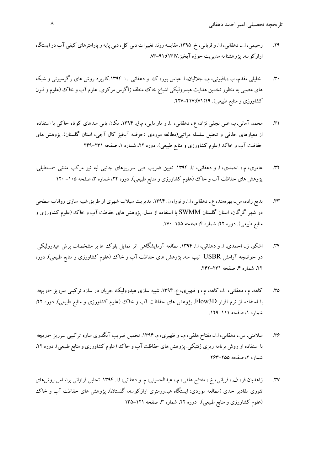- ٢٩. رحيمي، ل.، دهقاني، ا.ا. و قرباني، خ. ١٣٩٥. مقايسه روند تغييرات دبي كل، دبي پايه و پارامترهاي كيفي آب در ايستگاه ارازكوسه. پژوهشنامه مديريت حوزه آبخيز7.(13).83-91:
- .30 خليلي مقدم، ب,،.افيوني، م،. جلاليان، ا. عباس پور، ك. و دهقاني ا. ا. .1394كاربرد روش هاي رگرسيوني و شبكه هاي عصبي به منظور تخمين هدايت هيدروليكي اشباع خاك منطقه زاگرس مركزي. علوم آب و خاك (علوم و فنون كشاورزي و منابع طبيعي). 19(71).227-217:
- .31 محمد آماني،م،. علي نجفي نژاد، ع،. دهقاني، ا.ا. و مارامايي، م.ق. .1394 مكان يابي سدهاي كوتاه خاكي با استفاده از معيارهاي حذفي و تحليل سلسله مراتبي(مطالعه موردي :حوضه آبخيز كال آجي، استان گلستان). پژوهش هاي حفاظت آب و خاك (علوم كشاورزي و منابع طبيعي). دوره ۲۲، شماره ۱، صفحه ۲۳۱–۲۴۹
- .32 عامري، م،. احمدي، ا. و دهقاني، ا.ا. .1394 تعيين ضريب دبي سرريزهاي جانبي لبه تيز مركب مثلثي -مستطيلي. پژوهش های حفاظت آب و خاك (علوم كشاورزی و منابع طبیعی). دوره ۲۲، شماره ۳، صفحه ۱۰۵– ۱۲۰
- ٣٣. بديع زاده، س.، بهرهمند، ع.، دهقاني، ا.ا. و نورا، ن. ١٣٩۴. مديريت سيلاب شهري از طريق شبيه سازي رواناب سطحي در شهر گرگان، استان گلستان SWMM با استفاده از مدل. پژوهش هاي حفاظت آب و خاك (علوم كشاورزي و منابع طبيعي). دوره ٢٢، شماره ۴، صفحه ١۵۵–١٧٠.
- .34 اشكو، ز،. احمدي، ا. و دهقاني، ا.ا. .1394 مطالعه آزمايشگاهي اثر تمايل بلوك ها بر مشخصات پرش هيدروليكي در حوضچه آرامش USBR تيپ سه. پژوهش هاي حفاظت آب و خاك (علوم كشاورزي و منابع طبيعي). دوره ۲۲، شماره ۴، صفحه ۲۳۱–۲۴۲.
- ۳۵. كاهه، م.، دهقاني، ا.ا.، كاهه، م.، و ظهيري، ع. ١٣٩۴. شبيه سازي هيدروليك جريان در سازه تركيبي سرريز -دريچه با استفاده از نرم افزار D3Flow. پژوهش هاي حفاظت آب و خاك (علوم كشاورزي و منابع طبيعي). دوره ،22 شماره ،1 صفحه .129-111
- ۳۶. سلامتي، س.، دهقاني، ا.ا.، مفتاح هلقي، م.، و ظهيري، م. ۱۳۹۴. تخمين ضريب آبگذري سازه تركيبي سرريز -دريچه با استفاده از روش برنامه ريزي ژنتيكي. پژوهش هاي حفاظت آب و خاك (علوم كشاورزي و منابع طبيعي). دوره ۲۲، شماره ۲، صفحه ۲۵۵-۲۶۳
- .37 زاهديان فر، ف،. قرباني، خ،. مفتاح هلقي، م،. عبدالحسيني، م. و دهقاني، ا.ا. .1394 تحليل فراواني براساس روشهاي تئوري مقادير حدي (مطالعه موردي: ايستگاه هيدرومتري ارازكوسه، گلستان). پژوهش هاي حفاظت آب و خاك (علوم كشاورزي و منابع طبيعي). دوره ٢٢، شماره ٣، صفحه ١٢١–١٣۵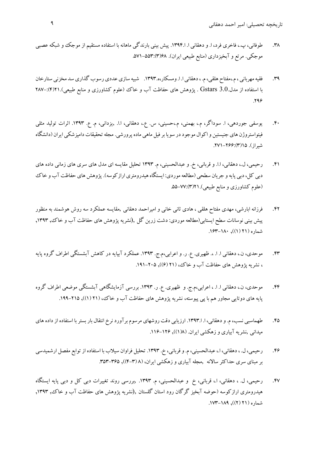- .38 طوفاني، پ،. فاخري فرد، ا. و دهقاني ا. ا.1394. پيش بيني بارندگي ماهانه با استفاده مستقيم از موجك و شبكه عصبي موجكي. مرتع و آبخيزداري (منابع طبيعي ايران). 68(3).571-553:
- ۳۹. فقيه مهرباني ، م.،مفتاح هلقي، م. ، دهقاني ا. ا. ومسكار،ه.۱۳۹۳. شبيه سازي عددي رسوب گذاري سد مخزني ستارخان با استفاده از مدل.3.0 Gstars . پژوهش هاي حفاظت آب و خاك (علوم كشاورزي و منابع طبيعي).21(۴):–۲۸۷ .296
- .40 يوسفي جوردهي، ا. سوداگر، م،. بهمني، م،.حسيني، س. ع،. دهقاني، ا.ا. ,يزداني، م. ع. .1393 اثرات توليد مثلي فيتواستروژن هاي جنيستين و اكوال موجود در سويا بر فيل ماهي ماده پرورشي. مجله تحقيقات دامپزشكي ايران (دانشگاه شيراز). 15(3).271-266:
- .41 رحيمي، ل،. دهقاني، ا.ا. و قرباني، خ. و عبدالحسيني، م. 1393 تحليل مقايسه اي مدل هاي سري هاي زماني داده هاي دبي كل، دبي پايه و جريان سطحي (مطالعه موردي: ايستگاه هيدرومتري ارازكوسه). پژوهش هاي حفاظت آب و خاك (علوم كشاورزي و منابع طبيعي)21.(3).55-77:
- .42 فرزانه ابارشي، مهدي مفتاح هلقي ، هادي ثاني خاني و اميراحمد دهقاني ,مقايسه عملكرد سه روش هوشمند به منظور پيش بيني نوسانات سطح ايستابي(مطالعه موردي: دشت زرين گل ,(نشريه پژوهش هاي حفاظت آب و خاك, ,1393 شماره (21 (1)), .163-180
- .43 موحدي، ن،. دهقاني ا. ا. .، ظهيري. ع. ر. و اعرابي،م.ج. .1393 عملكرد آبپايه در كاهش آبشستگي اطراف گروه پايه ، نشريه پژوهش هاي حفاظت آب و خاك، (٢١ (۶)), ٢٠٥-١٩١.
- .44 موحدي، ن،. دهقاني ا. ا. ، اعرابي،م.ج. و ظهيري. ع. ر. .1393 بررسي آزمايشگاهي آبشستگي موضعي اطراف گروه پايه هاي دوتايي مجاور هم با پي پيوسته، نشريه پژوهش هاي حفاظت آب و خاك، (٢١ (١)), ٢١٥-١٩٩.
- .45 طهماسبي نسب،م. ودهقاني، ا. ا.1393. ارزيابي دقت روشهاي مرسومبرآوردنرخ انتقال باربستربا استفاده ازدادههاي ميداني ,نشريه آبياري و زهكشي ايران. (١٨(١)), ١٢٤-١١۶.
- .46 رحيمي، ل. ،دهقاني، ا،.عبدالحسيني،م.وقرباني، خ. .1393 تحليل فراوان سيلاب با استفاده ازتوابع مفصل ارشميدسي بر مبناي سري حداكثر سالانه ,مجله آبياري و زهكشي ايران، (٨ (٣-۴)), ٣٥٥-٣٥٣.
- .47 رحيمي، ل. ، دهقاني، ا،. قرباني، خ و عبدالحسيني، م. .1393 ,بررسي روند تغييرات دبي كل و دبي پايه ايستگاه هيدرومتري ارازكوسه (حوضه آبخيز گرگان رود استان گلستان ,(نشريه پژوهش هاي حفاظت آب و خاك, ,1393 شماره (21 (2)), .173-189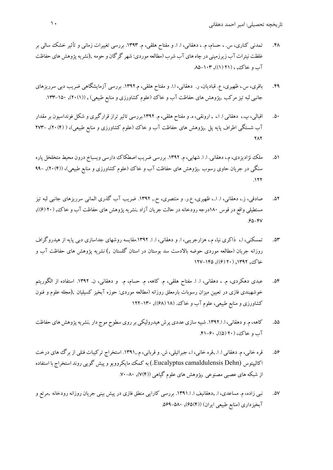- .48 تمدني كناري، س. ، حسام، م. ، دهقاني، ا. ا. و مفتاح هلقي، م. .1393 بررسي تغييرات زماني و تأثير خشك سالي بر غلظت نيترات آب زيرزميني در چاه هاي آب شرب (مطالعه موردي: شهر گرگان و حومه ,(نشريه پژوهش هاي حفاظت  $\Lambda$ آب و خاك, ، (11 (۱)), ۱۰۳- $\Lambda$
- .49 باقري، س،. ظهيري، ع. قباديان، ر. دهقاني، ا.ا. و مفتاح هلقي، م.1392. بررسي آزمايشگاهي ضريب دبي سرريزهاي جانبي لبه تيز مركب ,پژوهش هاي حفاظت آب و خاك (علوم كشاورزي و منابع طبيعي) , ((١)٢٠), ١٥٠-١٣٣.
- .50 اقبالي، پ،. دهقاني ا. ا،. , ارونقي، ه. ومفتاح هلقي، م. .1392بررسي تاثيرتراز قرارگيري و شكل فونداسيون برمقدار آب شستگي اطراف پايه پل ,پژوهش هاي حفاظت آب و خاك (علوم كشاورزي و منابع طبيعي)، ( (4)20), 273- **٢٨٢**
- .51 ملك نژاديزدي،م،.دهقاني. ا. ا. شهابي،م. .1392 بررسي ضريب اصطكاك دارسي ويسباخ درون محيط متخلخل پاره سنگي در جريان حاوي رسوب ,پژوهش هاي حفاظت آب و خاك (علوم كشاورزي و منابع طبيعي)، ((4)20), 99-  $.177$
- ۵۲. صادقي، ز.، دهقاني، ا. ا..، ظهيري، ع.ر. و منتصري، ح., ۱۳۹۲. ضريب آب گذري الماني سرريزهاي جانبي لبه تيز مستطيلي واقع در قوس ۱۸۰درجه رودخانه در حالت جريان آزاد ,نشريه پژوهش هاي حفاظت آب و خاك, (۲۰(۶)),  $.62 - 84$
- .53 تمسكني، ا،. ذاكري نيا، م،. هزارجريبي، ا. و دهقاني، ا. ا. .1392مقايسه روشهاي جداسازي دبي پايه از هيدروگراف روزانه جريان (مطالعه موردي حوضه بالادست سد بوستان در استان گلستان ,) نشريه پژوهش هاي حفاظت آب و خاك, ١٣٩٢, (٢٠ (٤)), ١٢٥-١٢٧
- ۵۴. عبدي دهكردي، م. ، دهقاني، ا. ا. مفتاح هلقي، م. كاهه، م. حسام، م. و دهقاني، ن. ۱۳۹۲. استفاده از الگوريتم خوشهبندي فازي در تعيين ميزان رسوبات بارمعلق روزانه (مطالعه موردي: حوزه آبخيز كسيليان ,(مجله علوم و فنون كشاورزي و منابع طبيعي، علوم آب و خاك. (18 (68)), 122-130
- ۵۵. كاهه،م. و دهقاني، ا. ۱۳۹۲. شبيه سازي عددي پرش هيدروليكي بر روي سطوح موج دار ,نشريه پژوهش هاي حفاظت آب و خاك، (20 (5)), .41-60
- .56 قره خاني، م. دهقاني ا. ا. ,قره خاني، ا،. جبرائيلي، ش. وقرباني، م.1391,. استخراج تركيبات فنلي از برگ هاي درخت اكاليپتوس (Dehn camaldulensis Eucalyptus. (به كمكمايكروويو وپيش گويي روند استخراج با استفاده از شبكه هاي عصبي مصنوعي ,پژوهش هاي علوم گياهي ((4)7), .70-80
- .57 نبي زاده، م. مساعدي، ا. ,دهقانيف ا. ا.1391. بررسي كارايي منطق فازي در پيش بيني جريان روزانه رودخانه ,مرتع و آبخيزداري (منابع طبيعي ايران) ((4)65), .569-580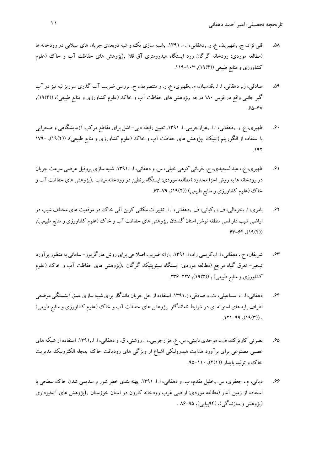- ۵۸. قلي نژاد، ج. ,ظهيريف ع. ر. ,دهقاني، ا. ا. ١٣٩١. ,شبيه سازي يك و شبه دوبعدي جريان هاي سيلابي در رودخانه ها (مطالعه موردي: رودخانه گرگان رود ايستگاه هيدرومتري آق قلا ,(پژوهش هاي حفاظت آب و خاك (علوم كشاورزي و منابع طبيعي ((١٩), ١٠٣-١١٩.
- .59 صادقي، ز,. دهقاني، ا. ا. ,قدسيان، م. ,ظهيري، ع. ر. و منتصريف ح. بررسي ضريب آب گذري سرريز لبه تيز در آب گير جانبي واقع در قوس 180 درجه ,پژوهش هاي حفاظت آب و خاك (علوم كشاورزي و منابع طبيعي)، ((4)19),  $.66 - 84$
- .60 ظهيري، ع. ر. ,دهقاني، ا. ا. ,هزارجريبي. ا. .1391 تعيين رابطه دبي- اشل براي مقاطع مركب آزمايشگاهي و صحرايي با استفاده از الگوريتم ژنتيك ,پژوهش هاي حفاظت آب و خاك (علوم كشاورزي و منابع طبيعي)، ((2)19), 179- .192
- .61 ظهيري، ع،.عبدالمجيدي، ح. ,قرباني كوهي خيلي، س. ودهقاني، ا. ا.1391. شبيه سازي پروفيل عرضي سرعت جريان دررودخانه ها به روش اجزا محدود (مطالعه موردي: ايستگاه برنطين دررودخانه ميناب ,(پژوهش هاي حفاظت آب و خاك (علوم كشاورزي و منابع طبيعي) ((١٩(٢), ٧٩-۶٣.
- .62 بامري، ا. ,خرمالي، ف،. ,كياني، ف. ,دهقاني، ا. ا. تغييرات مكاني كربن آلي خاك در موقعيت هاي مختلف شيب در اراضي شيب دار لسي منطقه توشن استان گلستان ,پژوهش هاي حفاظت آب و خاك (علوم كشاورزي و منابع طبيعي),  $FT-FT, (19(7))$
- .63 شريفان، ح,. دهقاني، ا. ا,.كريمي راد، ا. .1391 ,ارائه ضريب اصلاحي براي روش هارگريوز- ساماني به منظوربرآورد تبخير- تعرق گياه مرجع (مطالعه موردي: ايستگاه سينوپتيك گرگان ,(پژوهش هاي حفاظت آب و خاك (علوم كشاورزي و منابع طبيعي) , ((١٩(٣), ٢٢٧-٢٣۶.
- .64 دهقاني، ا. ا،. اسماعيلي، ت. و صادقي،ز.1391. استفاده از حل جريان ماندگاربراي شبيه سازي عمق آبشستگي موضعي اطراف پايه هاي استوانه اي در شرايط ناماندگار ,پژوهش هاي حفاظت آب و خاك (علوم كشاورزي و منابع طبيعي)  $.171-99, (19(7))$ ,
- .65 نصرتي كاريزك، ف،. موحدي ناييني، س. ع. هزارجريبي،. ا. روشني، ق. و دهقاني، ا. ا.1391,. استفاده از شبكه هاي عصبي مصنوعي براي برآورد هدايت هيدروليكي اشباع از ويژگي هاي زوديافت خاك ,مجله الكترونيك مديريت خاك و توليد پايدار ((٢(١), ١١٠-٩۵.
- .66 دياني، م،. جعفري، س. ,خليل مقدم، ب. و دهقاني، ا. ا. .1391 پهنه بندي خطر شور و سديمي شدن خاك سطحي با استفاده از زمين آمار (مطالعه موردي: اراضي غرب رودخانه كارون در استان خوزستان ,(پژوهش هاي آبخيزداري (پژوهش و سازندگي), (94پياپي), 86-95 .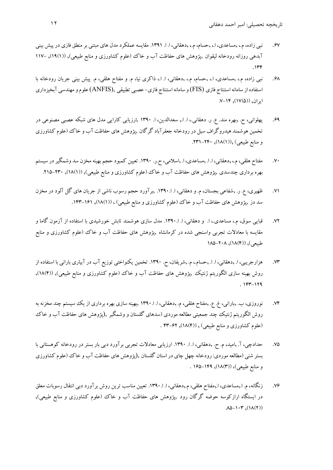- 67 . نبي زاده، م.، ,مساعدي، ا.، ,حسام، م.، ,دهقاني، ا. ا. ١٣٩١. مقايسه عملكرد مدل هاي مبتني بر منطق فازي در پيش بيني آبدهي روزانه رودخانه ليقوان ,پژوهش هاي حفاظت آب و خاك (علوم كشاورزي و منابع طبيعي), ((١٩(١), –١١٧  $.146$
- .68 نبي زاده، م،. ,مساعدي، ا،. ,حسام، م،. ,دهقاني، ا. ا،. ذاكري نيا، م. و مفتاح هلقي، م. پيش بيني جريان رودخانه با استفاده از سامانهاستنتاج فازي (FIS (و سامانهاستنتاج فازي- عصبي تطبيقي ,(ANFIS (علومومهندسي آبخيزداري  $V-V^2, (IV(\Delta))$ , ۱۴-
- .69 پهلواني، ح. ,بهره مند. ع. ر. دهقاني،. ا. ا,. سعدالدين، ا. 1390 ,ارزيابي كارايي مدل هاي شبكه عصبي مصنوعي در تخمين هوشمند هيدروگراف سيل دررودخانه جعفرآباد گرگان ,پژوهش هاي حفاظت آب و خاك (علوم كشاورزي و منابع طبيعي) ,((1)18), .231-240
- .70 مفتاح هلقي،م،. ,دهقاني، ا. ا. ,مساعدي، ا. ,اسلامي، ح.ر. .1390 تعيين كمبود حجم بهينهمخزن سد وشمگيردر سيستم بهره برداري چندسدي ,پژوهش هاي حفاظت آب و خاك (علوم كشاورزي و منابع طبيعي), ((١٨(١), ٢٣٠-٢١٥.
- .71 ظهيري، ع. ر. ,شفاعي بجستان، م. و دهقاني، ا. ا.1390. ,برآورد حجم رسوب ناشي از جريان هاي گل آلود در مخزن سد دز ,پژوهش هاي حفاظت آب و خاك (علوم كشاورزي و منابع طبيعي) ، ((1)18), .143-161
- .72 قبايي سوق، م،. مساعدي،. ا. و دهقاني، ا. ا.1390. مدل سازي هوشمند تابش خورشيدي با استفاده از آزمون گاما و مقايسه با معادلات تجربي واسنجي شده در كرمانشاه ,پژوهش هاي حفاظت آب و خاك (علوم كشاورزي و منابع طبيعي), ((4)18), 185-208
- .73 هزارجريبي، ا. ,دهقاني، ا. ا. ,حسام،. م. ,شريفان، ح. .1390 تخمين يكنواختي توزيع آب در آبياري باراني با استفاده از روش بهينه سازي الگوريتم ژنتيك ,پژوهش هاي حفاظت آب و خاك (علوم كشاورزي و منابع طبيعي), ((١٨٨۴),  $. 144 - 179$
- .74 نوروزي، ب. ,باراني، غ. ع. ,مفتاح هلقي، م. ,دهقاني، ا. ا1390. ,بهينه سازي بهره برداري از يك سيستم چند مخزنه به روش الگوريتم ژنتيك چند جمعيتي مطالعه موردي (سدهاي گلستان و وشمگير ,(پژوهش هاي حفاظت آب و خاك (علوم كشاورزي و منابع طبيعي) , ((4)18), 43-62 .
- .75 حدادچي، آ. ,اميد، م. ح. ,دهقاني، ا. ا. .1390 ارزيابي معادلات تجربي برآورد دبي بار بستر در رودخانه كوهستاني با بستر شنبي (مطالعه موردي: رودخانه چهل چاي در استان گلستان ,(پژوهش هاي حفاظت آب و خاك (علوم كشاورزي و منابع طبيعي)، ((3)18), 165-149 .
- .76 زنگانه، م. ا,.مساعدي، ا,.مفتاح هلقي، م,.دهقاني، ا. ا.1390. تعيين مناسب ترين روش برآورد دبي انتقال رسوبات معلق در ايستگاه ارازكوسه حوضه گرگان رود ,پژوهش هاي حفاظت آب و خاك (علوم كشاورزي و منابع طبيعي),  $\Lambda\Delta - 1 \cdot \tau$ ,  $(1\Lambda(Y))$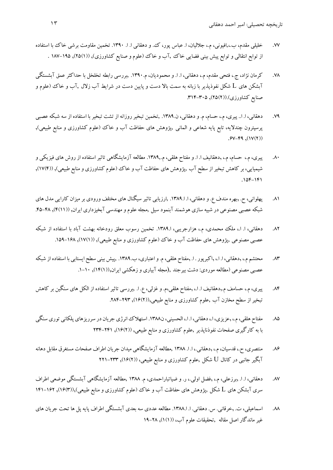- .77 خليلي مقدم، ب,،.افيوني، م،. جلاليان، ا. عباس پور، ك. و دهقاني ا. ا. .1390 تخمين مقاومت برشي خاك با استفاده از توابع انتقالي و توابع پيش بيني فضايي خاك ,آب و خاك (علوم و صنايع كشاورزي), ((١٥٤١), ١٨٧-١٨٧ .
- .78 كرمان نژاد، ج،. فتحي مقدم، م،. دهقاني، ا. ا. و محموديان، م.1390. ,بررسي رابطه تخلخل با حداكثر عمق آبشستگي آبشكن هاي L شكل نفوذپذير با زبانه به سمت بالا دست و پايين دست در شرايط آب زلال ,آب و خاك (علوم و صنايع كشاورزي).((٢٥(٢), ٣١٤-٣١٤.
- ٧٩. دهقاني، ا. ا.. پيري، م.، حسام، م. و دهقاني، ن.١٣٨٩. ,تخمين تبخير روزانه از تشت تبخير با استفاده از سه شبكه عصبي پرسپترون چندلايه، تابع پايه شعاعي و الماني ,پژوهش هاي حفاظت آب و خاك (علوم كشاورزي و منابع طبيعي),  $.9V-F9, (1V(7))$
- ۸۰. پيري، م.، حسام، م.، ,دهقانيف ا. ا. و مفتاح هلقي، م.١٣٨٩. مطالعه آزمايشگاهي تاثير استفاده از روش هاي فيزيكي و شيميايي، بر كاهش تبخيراز سطح آب ,پژوهش هاي حفاظت آب و خاك (علوم كشاورزي ومنابع طبيعي), ((4)17),  $.105 - 191$
- .81 پهلواني، ح. ,بهره مندف ع. ودهقاني، ا. ا.1389. ,ارزيابي تاثير سيگنال هاي مختلف ورودي برميزان كارايي مدل هاي شبكه عصبي مصنوعي در شبيه سازي هوشمند آبنمود سيل ,مجله علوم و مهندسي آبخيزداري ايران, (((٢(١١), .44-۴۵.
- .82 دهقاني، ا. ا،. ملك محمدي، م،. هزارجريبي، ا.1389. تخمين رسوب معلق رودخانه بهشت آباد با استفاده از شبكه عصبي مصنوعي ,پژوهش هاي حفاظت آب و خاك (علوم كشاورزي و منابع طبيعي), ((١٧(١), ١٤٨-١٥٩.
- .83 محتشم م،. ,دهقاني، ا. ا،. ,اكبرپور. ا. ,مفتاح هلقي،م. واعتباري، ب.1389. ,پيش بيني سطح ايستابي با استفاده از شبكه عصبي مصنوعي (مطالعه موردي: دشت بيرجند ,(مجله آبياري وزهكشي ايران,((1)14), .1-10
- .84 پيري، م،. حسامف م,.دهقانيف ا. ا،. ,مفتاح هلقي،م. وغزلي، ع. ا. ,بررسي تاثيراستفاده از الكل هاي سنگين بر كاهش تبخير از سطح مخازن آب ,علوم كشاورزي و منابع طبيعي,((١۶(٢), ٢٩٣-٢٨۴.
- ۸۵. مفتاح هلقي، م.، ,عزيزي، ا.، دهقاني، ا. ا.، الحسيني، ن١٣٨٨. استهلاك انرژي جريان در سرريزهاي پلكاني توري سنگي با به كارگيري صفحات نفوذناپذير ,علوم كشاورزي و منابع طبيعي, ((2)16), 234-241
- .86 منتصري، ح،. قدسيان،م،. ,دهقاني،. ا. ا. 1388 ,مطالعهآزمايشگاهي ميدان جريان اطراف صفحات مستغرق مقابل دهانه آبگير جانبي در كانال U شكل ,علوم كشاورزي و منابع طبيعي، ((2)16), 221-233
- .87 دهقاني، ا. ا. ,برزعلي، م،. ,فضل اولي،. ر. و ضياتباراحمدي، م. 1388 ,مطالعه آزمايشگاهي آبشستگي موضعي اطراف سري آبشكن هاي L شكل ,پژوهش هاي حفاظت آب و خاك (علوم كشاورزي و منابع طبيعي),((3)16), 141-162
- .88 اسماعيلي، ت. ,خرقاني. س. دهقاني. ا. ا.1388. مطالعه عددي سه بعدي آبشستگي اطراف پايه پل ها تحت جريان هاي غير ماندگار اصل مقاله ,تحقيقات علوم آب، ((1)1), 19-28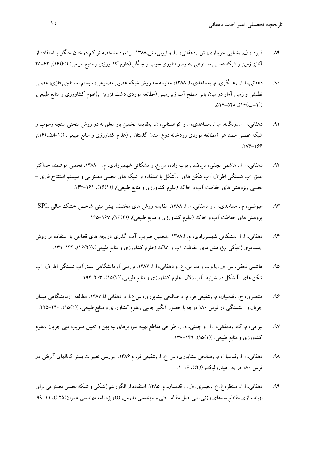- .89 قنبري، ف. ,شتايي جويباري، ش. ,دهقاني، ا. ا. و ايوبي، ش.1388. برآورد مشخصه تراكم درختان جنگل با استفاده از آناليز زمين و شبكه عصبي مصنوعي ,علوم و فناوري چوب و جنگل (علوم كشاورزي و منابع طبيعي) ((١۶), ٢٢–٢٥
- ۹۰. دهقاني، ا. ا.، ,عسگري. م. ,مساعدي، ا. ۱۳۸۸، مقايسه سه روش شبكه عصبي مصنوعي، سيستم استنتاجي فازي، عصبي تطبيقي و زمين آمار در ميان يابي سطح آب زيرزميني (مطالعه موردي دشت قزوين ,(علوم كشاورزي و منابع طبيعي,  $(19(1)$ ,  $19(1)$
- .91 دهقاني، ا. ا. ,زنگانه، م. ا. ,مساعدي، ا. و كوهستاني، ن. ,مقايسه تخمين بار معلق به دو روش منحني سنجه رسوب و شبكه عصبي مصنوعي (مطالعه موردي رودخانه دوغ استان گلستان , (علوم كشاورزي و منابع طبيعي, ((-1الف)16), .276-266
- ۹۲. دهقاني، ا. ا., هاشمي نجفي، س.ف. ,ايوب زاده، س.ع. و مشكاتي شهميرزادي، م. ا. ١٣٨٨. تخمين هوشمند حداكثر عمق آب شستگي اطراف آب شكن هاي Lشكل با استفاده از شبكه هاي عصبي مصنوعي و سيستم استنتاج فازي - عصبي ,پژوهش هاي حفاظت آب و خاك (علوم كشاورزي و منابع طبيعي), ((١/١٤١), ١٤١-١۴٣.
- .93 عيوضي، م،. مساعدي، ا. و دهقاني، ا. ا. .1388 مقايسه روش هاي مختلف پيش بيني شاخص خشك سالي ,SPI پژوهش های حفاظت آب و خاك (علوم كشاورزی و منابع طبیعی), ((١۶/٢), ١۶٧-١۴۵.
- .94 دهقاني، ا. ا. ,مشكاتي شهميرزادي، م. ا1388. ,تخمين ضريب آب گذري دريچه هاي قطاعي با استفاده از روش جستجوي ژنتيكي ,پژوهش هاي حفاظت آب و خاك (علوم كشاورزي و منابع طبيعي),((١۶(٢), ١۴۴–١٣١.
- .95 هاشمي نجفي، س. ف. ,ايوب زاده، س. ع. و دهقاني، ا. ا. .1387 بررسي آزمايشگاهي عمق آب شستگي اطراف آب شكن هاي L شكل در شرايط آب زلال ,علوم كشاورزي و منابع طبيعي,((1)15), .192-203
- .96 منتصري، ح. ,قدسيان، م. ,شفيعي فر، م. و صالحي نيشابوري، س.ع.ا. و دهقاني ا.ا.1387. مطالعه آزمايشگاهي ميدان جريان و آبشستگي در قوس 180 درجه با حضور آبگير جانبي ,علوم كشاورزي و منابع طبيعي, ((2)15), .225-240
- .97 بيرامي، م. ك. ,دهقاني، ا. ا. و چمني، م. ر. طراحي مقاطع بهينه سرريزهاي لبه پهن و تعيين ضريب دبي جريان ,علوم كشاورزي و منابع طبيعي. ((١٥/١), ١۴٩-١٣٨.
- .98 دهقاني، ا. ا. ,قدسيان، م. ,صالحي نيشابوري، س. ع. ا. ,شفيعي فر، م.1386. ,بررسي تغييرات بستر كانالهاي آبرفتي در قوس 180 درجه ,هيدروليك, ((2)), .1-16
- ۹۹. دهقاني، ا. ا.، منتظر، غ. ع. ,نصيري، ف. و قدسيان، م. ١٣٨۵. استفاده از الگوريتم ژنتيكي و شبكه عصبي مصنوعي براي بهينه سازي مقاطع سدهاي وزني بتني اصل مقاله ,فني و مهندسي مدرس, (((ويژه نامه مهندسي عمران)25 )), 99-11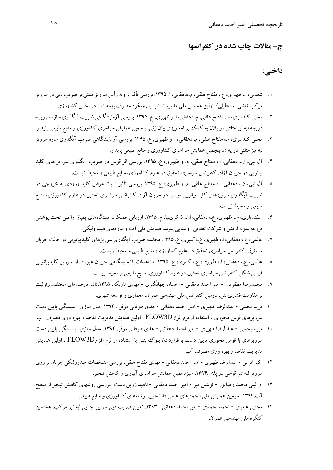## **ج- مقالات چاپ شده در كنفرانسها**

## **داخلي:**

- .1 شعباني، ا،. ظهيري، ع،. مفتاح هلقي،م،.دهقاني، ا. .1395 بررسي تأثيرزاويهرأس سرريزمثلثي بر ضريب دبي در سرريز مركب (مثلي-مستطيلي). اولين همايش ملي مديريت آب با رويكرد مصرف بهينه آب در بخش كشاورزي.
- .2 محبي كندسري،م،. مفتاح هلقي،م. دهقاني، ا. و ظهيري, ع. .1395 بررسي آزمايشگاهي ضريب آبگذري سازه سرريز- دريچه لبه تيزمثلثي در پلان به كمك برنامه ريزي بيان ژني. پنجمين همايش سراسري كشاورزي و منابع طبيعي پايدار.
- .3 محبي كندسري،م،. مفتاح هلقي، م. دهقاني، ا. و ظهيري, ع. .1395 بررسي آزمايشگاهي ضريب آبگذري سازه سرريز لبه تيزمثلثي در پلان. پنجمين همايش سراسري كشاورزي و منابع طبيعي پايدار.
- .4 آل نبي، ن،. دهقاني، ا،. مفتاح هلقي، م. و ظهيري، ع. .1395 بررسي اثر قوس در ضريب آبگذري سرريز هاي كليد پيانويي در جريان آزاد. كنفرانس سراسري تحقيق در علوم كشاورزي، منابع طبيعي و محيط زيست.
- .5 آل نبي، ن،. دهقاني، ا،. مفتاح هلقي، م. و ظهيري، ع. .1395 بررسي تأثير نسبت عرض كليد ورودي به خروجي در ضريب آبگذري سرريزهاي كليد پيانويي قوسي در جريان آزاد. كنفرانس سراسري تحقيق در علوم كشاورزي، منابع طبيعي و محيط زيست.
- .6 اسفندياري، م،. ظهيري، ع،. دهقاني، ا.ا،. ذاكرينيا، م. .1395 ارزيابي عملكرد ايستگاههاي پمپاژ اراضي تحت پوشش مزرعه نمونه ارتش و شركت تعاوني روستايي پيوند. همايش ملي آب و سازههاي هيدروليكي.
- .7 عالمي، ع،.دهقاني، ا،. ظهيري، ع،. كبيري، ع. .1395 محاسبه ضريب آبگذري سرريزهاي كليدپيانويي در حالت جريان مستغرق. كنفرانس سراسري تحقيق در علوم كشاورزي، منابع طبيعي و محيط زيست.
- .8 عالمي، ع،. دهقاني، ا،. ظهيري، ع،. كبيري، ع. .1395 مشاهدات آزمايشگاهي جريان عبوري از سرريز كليدپيانويي قوسي شكل. كنفرانس سراسري تحقيق در علوم كشاورزي، منابع طبيعي و محيط زيست
- .9 محمدرضا مظفريان امير احمد دهقاني احسان جهانگيري مهدي تازيكه، .1395تاثير درصدهاي مختلف زئوليت برمقاومت فشاري بتن. دومين كنفرانس ملي مهندسي عمران، معماري و توسعه شهري.
- .10 مريم بخشي عبدالرضا ظهيري امير احمد دهقاني هدي طوفاني موقر . .1394 مدل سازي آبشستگي پايين دست سرزيرهاي قوس محوري با استفاده از نرم افزارD3FLOW . اولين همايش مديريت تقاضا و بهره وري مصرف آب
- .11 مريم بخشي عبدالرضا ظهيري امير احمد دهقاني هدي طوفاني موقر. .1394 مدل سازي آبشستگي پايين دست سرريزهاي با قوس محوري پايين دست با قراردادن بلوك بتني با استفاده از نرم افزارD3FLOW ، اولين همايش مديريت تقاضا و بهره وري مصرف آب
- .12 اكبرانزاني عبدالرضا ظهيري اميراحمد دهقاني مهدي مفتاح هلقي، بررسي مشخصات هيدروليكي جريان برروي سرريزلبه تيز قوسي در پلان.1394. سيزدهمين همايش سراسري آبياري و كاهش تبخير.
- .13 ام البني محمد رضاپور نوشين مير امير احمد دهقاني ناهيد زرين دست .بررسي روشهاي كاهش تبخير از سطح آب.1394. سومين همايش ملي انجمنهاي علمي دانشجويي رشتههاي كشاورزي و منابع طبيعي
- .14 مجتبي عامري احمد احمدي امير احمد دهقاني . .1393 تعيين ضريب دبي سرريز جانبي لبه تيز مركب. هشتمين كنگره ملي مهندسي عمران.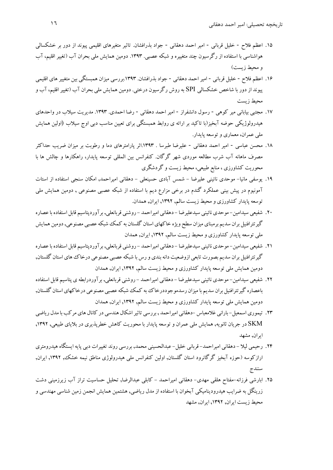- .15 اعظم فلاح خليل قرباني امير احمد دهقاني جواد بذرافشان. تاثير متغيرهاي اقليمي پيوند از دور بر خشكسالي هواشناسي با استفاده از رگرسيون چند متغييره و شبكه عصبي. .1393 دومين همايش ملي بحران آب (تغيير اقليم، آب و محيط زيست)
- ۱۶. اعظم فلاح خليل قرباني امير احمد دهقاني جواد بذرافشان. ۱۳۹۳بررسي ميزان همبستگي بين متغيير هاي اقليمي پيوند از دور با شاخص خشكسالي SPI به روش رگرسيون درختي. دومين همايش ملي بحران آب (تغييراقليم، آب و محيط زيست
- .17 مجتبي بياباني مير كوهي رسول دانشفراز امير احمد دهقاني رضا احمدي. .1393 مديريت سيلاب در واحدهاي هيدرولوژيكي حوضه آبخيز(با تاكيد بر ارائه ي روابط همبستگي براي تعيين مناسب دبي اوج سيلاب (اولين همايش ملي عمران، معماري و توسعه پايدار.
- .18 محسن عباسي امير احمد دهقاني عليرضا طبرسا . .1393اثر پارامترهاي دما و رطوبت بر ميزان ضريب حداكثر مصرف ماهانه آب شرب مطالعه موردي شهر گرگان. كنفرانس بين المللي توسعه پايدار، راهكارها و چالش ها با محوريت كشاورزي ، منابع طبيعي، محيط زيست و گردشگري
- .19 يوسفي مانيا- موحدي نائيني عليرضا شمس آبادي حسينعلي دهقاني اميراحمد, امكان سنجي استفاده از استات آمونيوم در پيش بيني عملكرد گندم در برخي مزارع ديم با استفاده از شبكه عصبي مصنوعي , دومين همايش ملي توسعه پايدار كشاورزي و محيط زيست سالم, ,1392 ايران, همدان.
- .20 شفيعي سيدامين- موحدي نائيني سيدعليرضا دهقاني اميراحمد روشني قربانعلي, برآوردپتاسيم قابل استفاده باعصاره گير تترافنيل بران سديم برمبناي ميزان سطح ويژه خاكهاي استان گلستان به كمك شبكه عصبي مصنوعي, دومين همايش ملي توسعه پايدار كشاورزي و محيط زيست سالم, ,1392 ايران, همدان
- .21 شفيعي سيدامين- موحدي نائيني سيدعليرضا دهقاني اميراحمد روشني قربانعلي, برآوردپتاسيم قابل استفاده باعصاره گيرتترافنيل بران سديم بصورت تابعي ازوضعيت دانه بندي و رس با شبكه عصبي مصنوعي درخاك هاي استان گلستان, دومين همايش ملي توسعه پايدار كشاورزي و محيط زيست سالم, ,1392 ايران, همدان
- .22 شفيعي سيدامين- موحدي نائيني سيدعليرضا دهقاني اميراحمد روشني قربانعلي, برآوردرابطه ي پتاسيم قابل استفاده باعصاره گير تترافنيل بران سديم با ميزان رسدموجوددرخاك به كمك شبكه عصبي مصنوعي درخاكهاي استان گلستان, دومين همايش ملي توسعه پايدار كشاورزي و محيط زيست سالم, ,1392 ايران, همدان
- ۲۳. تيموري اسمعيل-باراني غلامعباس -دهقاني اميراحمد , بررسي تاثير اشكال هندسي در كانال هاي مركب با مدل رياضي SKM در جريان ثانويه, همايش ملي عمران و توسعه پايدار با محوريت كاهش خطرپذيري در بلاياي طبيعي, ,1392 ايران, مشهد
- .24 رحيمي ليلا دهقاني اميراحمد- قرباني خليل- عبدالحسيني محمد, بررسي روند تغييرات دبي پايه ايستگاه هيدرومتري ارازكوسه (حوزه آبخيز گرگانرود استان گلستان, اولين كنفرانس ملي هيدرولوژي مناطق نيمه خشك, ,1392 ايران, سنندج
- .25 ابارشي فرزانه-مفتاح هلقي مهدي- دهقاني اميراحمد كابلي عبدالرضا, تحليل حساسيت تراز آب زيرزميني دشت زرينگل به ضرايب هيدروديناميكي آبخوان با استفاده از مدل رياضي, هشتمين همايش انجمن زمين شناسي مهندسي و محيط زيست ايران, ,1392 ايران, مشهد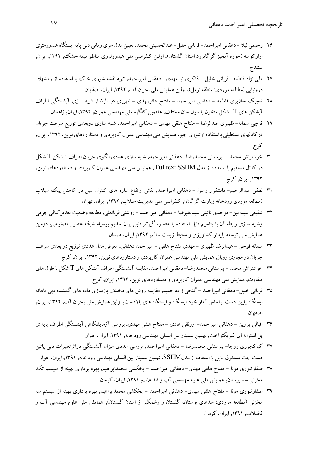- ۲۶. رحيمي ليلا -دهقاني اميراحمد- قرباني خليل- عبدالحسيني محمد, تعيين مدل سري زماني دبي پايه ايستگاه هيدرومتري ارازكوسه (حوزه آبخيز گرگانرود استان گلستان), اولين كنفرانس ملي هيدرولوژي مناطق نيمه خشك, ,1392 ايران, سنندج
- .27 ولي نژاد فاطمه- قرباني خليل ذاكري نيا مهدي- دهقاني اميراحمد, تهيه نقشه شوري خاك با استفاده از روشهاي درونيابي (مطالعه موردي: منطقه نومل), اولين همايش ملي بحران آب, ,1392 ايران, اصفهان
- .28 تاجيك جلايري فاطمه دهقاني اميراحمد مفتاح هلقيمهدي ظهيري عبدالرضا, شبيه سازي آبشستگي اطراف آبشكن هاي T -شكل متقارن با طول جان مختلف, هفتمين كنگره ملي مهندسي عمران, ,1392 ايران, زاهدان
- .29 قوچي سمانه- ظهيري عبدالرضا مفتاح هلقي مهدي دهقاني اميراحمد, شبيه سازي دوبعدي توزيع سرعت جريان دركانالهاي مستطيلي بااستفاده ازتئوري چيو, همايش ملي مهندسي عمران كاربردي ودستاوردهاي نوين, ,1392 ايران, كرج
- .30 خوشتراش محمد پيرستاني محمدرضا- دهقاني اميراحمد, شبيه سازي عددي الگوي جريان اطراف آبشكن T شكل در كانال مستقيم با استفاده از مدل SSIIM Fulltext , همايش ملي مهندسي عمران كاربردي و دستاوردهاي نوين, ,1392 ايران, كرج
- .31 لطفي عبدالرحيم- دانشفراز رسول- دهقاني اميراحمد, نقش ارتفاع سازه هاي كنترل سيل در كاهش پيك سيلاب (مطالعه موردي رودخانه زيارت گرگان), كنفرانس ملي مديريت سيلاب, ,1392 ايران, تهران
- ٣٢. شفيعي سيدامين- موحدي نائيني سيدعليرضا دهقاني اميراحمد روشني قربانعلي, مطالعه وضعيت بعدفر كتالي جرمي وشبيه سازي رابطه آن با پتاسيم قابل استفاده با عصاره گيرتترافنيل بران سديم بوسيله شبكه عصبي مصنوعي, دومين همايش ملي توسعه پايدار كشاورزي و محيط زيست سالم, ,1392 ايران, همدان
- .33 سمانه قوچي عبدالرضا ظهيري مهدي مفتاح هلقي اميراحمد دهقاني, معرفي مدل عددي توزيع دو بعدي سرعت جريان در مجاري روباز, همايش ملي مهندسي عمران كاربردي و دستاوردهاي نوين, ,1392 ايران, كرج
- .34 خوشتراش محمد پيرستاني محمدرضا- دهقاني اميراحمد, مقايسهآبشستگي اطراف آبشكن هاي T شكل با طول هاي متفاوت, همايش ملي مهندسي عمران كاربردي و دستاوردهاي نوين, ,1392 ايران, كرج
- .35 قرباني خليل- دهقاني اميراحمد گنجي زاده حميد, مقايسه روش هاي مختلف بازسازي داده هاي گمشده دبي ماهانه ايستگاه پايين دست براساس آمار خود ايستگاه و ايستگاه هاي بالادست, اولين همايش ملي بحران آب, ,1392 ايران, اصفهان
- .36 اقبالي پروين دهقاني اميراحمد- ارونقي هادي مفتاح هلقي مهدي, بررسي آزمايشگاهي آبشستگي اطراف پايه ي پل استوانه اي غيريكنواخت, نهمين سمينار بين المللي مهندسي رودخانه, ,1391 ايران, اهواز
- .37 كياكجوري روجا- پيرستاني محمدرضا دهقاني اميراحمد, بررسي عددي ميزان آبشستگي دراثرتغييرات دبي پائين دست جت مستغرق مايل با استفاده از مدلSSIIM, نهمين سمينار بين المللي مهندسي رودخانه, ,1391 ايران, اهواز
- .38 صفارتلوري مونا مفتاح هلقي مهدي- دهقاني اميراحمد يخكشي محمدابراهيم, بهره برداري بهينه از سيستم تك مخزني سد بوستان, همايش ملي علوم مهندسي آب و فاضلاب, ,1391 ايران, كرمان
- .39 صفارتلوري مونا مفتاح هلقي مهدي- دهقاني اميراحمد يخكشي محمدابراهيم, بهره برداري بهينه از سيستم سه مخزني (مطالعه موردي: سدهاي بوستان، گلستان و وشمگير از استان گلستان), همايش ملي علوم مهندسي آب و فاضلاب, ,1391 ايران, كرمان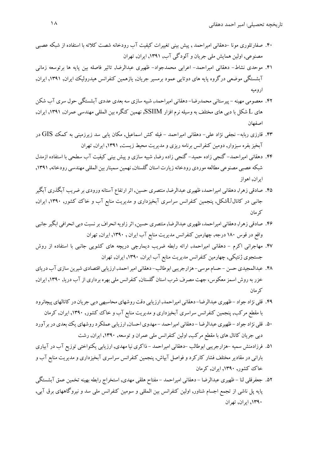- .40 صفارتلوري مونا -دهقاني اميراحمد , پيش بيني تغييرات كيفيت آب رودخانه شصت كلاته با استفاده از شبكه عصبي مصنوعي, اولين همايش ملي جريان و آلودگي آب, ,1391 ايران, تهران
- .41 موحدي نشاط- دهقاني اميراحمد- اعرابي محمدجواد- ظهيري عبدالرضا, تاثير فاصله بين پايه ها برتوسعه زماني آبشستگي موضعي درگروه پايه هاي دوتايي عمود برمسير جريان, يازهمين كنفرانس هيدروليك ايران, ,1391 ايران, اروميه
- .42 معصومي مهينه پيرستاني محمدرضا- دهقاني اميراحمد, شبيه سازي سه بعدي عددي آبشستگي حول سري آب شكن هاي L شكل با دبي هاي مختلف به وسيله نرم افزار SSIIM, نهمين كنگره بين المللي مهندسي عمران, ,1391 ايران, اصفهان
- .43 قارزي ربابه- نجفي نژاد علي- دهقاني اميراحمد فيله كش اسماعيل, مكان يابي سد زيرزميني به كمك GIS در آبخيزبفره سبزوار, دومين كنفرانس برنامه ريزي و مديريت محيط زيست, ,1391 ايران, تهران
- .44 دهقاني اميراحمد- گنجي زاده حميد- گنجي زاده رضا, شبيه سازي و پيش بيني كيفيت آب سطحي با استفاده ازمدل شبكه عصبي مصنوعي مطالعه موردي رودخانه زيارت استان گلستان, نهمين سمينار بين المللي مهندسي رودخانه, ١٣٩١, ايران, اهواز
- ۴۵. صادقي زهرا, دهقاني اميراحمد، ظهيري عبدالرضا, منتصري حسين, اثر ارتفاع آستانه ورودي بر ضريب آبگذري آبگير جانبي در كانالUشكل, پنجمين كنفرانس سراسري آبخيزداري و مديريت منابع آب و خاك كشور, ,1390 ايران, كرمان
- .46 صادقي زهرا, دهقاني اميراحمد، ظهيري عبدالرضا, منتصري حسين, اثرزاويهانحراف برنسبت دبي انحرافي ابگير جانبي واقع در قوس 180 درجه, چهارمين كنفرانس مديريت منابع آب ايران , ,1390 ايران, تهران
- .47 مهاجراني اكرم دهقاني اميراحمد, ارائه رابطه ضريب ديمارچي دريچه هاي كشويي جانبي با استفاده از روش جستجوي ژنتيكي, چهارمين كنفرانس مديريت منابع آب ايران, ,1390 ايران, تهران
- ۴۸. عبدالمجيدي حسن حسام موسى- هزارجريبي ابوطالب- دهقاني امير احمد, ارزيابي اقتصادي شيرين سازي آب درياي خزر به روش اسمز معكوس، جهت مصرف شرب استان گلستان, كنفرانس ملي بهره برداري از آب دريا, ۱۳۹۰, ايران, كرمان
- ۴۹. قلي نژاد جواد ظهيري عبدالرضا- دهقاني اميراحمد, ارزيابي دقت روشهاي محاسبهي دبي جريان در كانالهاي پيچانرود با مقطع مركب, پنجمين كنفرانس سراسري آبخيزداري و مديريت منابع آب و خاك كشور, ,1390 ايران, كرمان
- ۵۰. قلي نژاد جواد ظهيري عبدالرضا دهقاني اميراحمد مهدوي احسان, ارزيابي عملكرد روشهاي يك بعدي در برآورد دبي جريان كانال هاي با مقطع مركب, اولين كنفرانس ملي عمران و توسعه, ,1390 ايران, رشت
- .51 فرزادمنش سميه -هزارجريبي ابوطالب -دهقاني اميراحمد ذاكري نيا مهدي, ارزيابي يكنواختي توزيع آب درآبياري باراني در مقادير مختلف فشار كاركرد و فواصل آبپاش, پنجمين كنفرانس سراسري آبخيزداري و مديريت منابع آب و خاك كشور, ,1390 ايران, كرمان
- .52 جعفرقلي لنا ظهيري عبدالرضا دهقاني اميراحمد مفتاح هلقي مهدي, استخراج رابطه بهينه تخمين عمق آبشستگي پايه پل ناشي از تجمع اجسام شناور, اولين كنفرانس بين المللي و سومين كنفرانس ملي سد و نيروگاههاي برق آبي, ,1390 ايران, تهران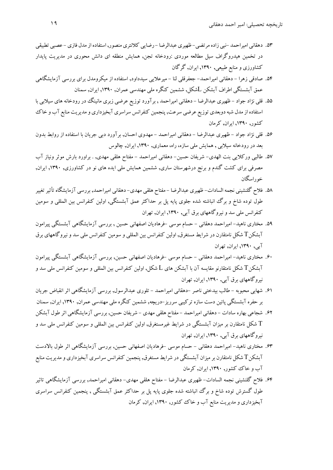- ۵۳. دهقاني اميراحمد -نبي زاده مرتضي- ظهيري عبدالرضا رضايي كلانتري منصور, استفاده از مدل فازي عصبي تطبيقي در تخمين هيدروگراف سيل مطالعه موردي :رودخانه تجن, همايش منطقه اي دانش محوري در مديريت پايدار كشاورزي و منابع طبيعي, ,1390 ايران, گرگان
- .54 صادقي زهرا دهقاني اميراحمد- جعفرقلي لنا ميرعلايي سيدداود, استفاده از ميكرومدل براي بررسي آزمايشگاهي عمق آبشستگي اطراف آبشكن Lشكل, ششمين كنگره ملي مهندسي عمران, ,1390 ايران, سمنان
- .55 قلي نژاد جواد ظهيري عبدالرضا دهقاني اميراحمد , برآورد توزيع عرضي زبري مانينگ در رودخانه هاي سيلابي با استفاده از مدل شبه دوبعدي توزيع عرضي سرعت, پنجمين كنفرانس سراسري آبخيزداري و مديريت منابع آب و خاك كشور, ,1390 ايران, كرمان
- .56 قلي نژاد جواد ظهيري عبدالرضا دهقاني اميراحمد مهدوي احسان, برآورد دبي جريان با استفاده از روابط بدون بعد در رودخانه سيلابي , همايش ملي سازه، راه، معماري, ,1390 ايران, چالوس
- .57 طالبي وركلايي بنت الهدي- شريفان حسين- دهقاني اميراحمد مفتاح هلقي مهدي, . براورد بارش موثر ونياز آب مصرفي براي كشت گندم و برنج درشهرستان ساري, ششمين همايش ملي ايده هاي نو در كشاورزي, ,1390 ايران, خوراسگان
- ۵۸. فلاح گلنشيني نجمه السادات- ظهيري عبدالرضا مفتاح هلقي مهدي- دهقاني اميراحمد, بررسي آزمايشگاه تأثير تغيير طول توده شاخ و برگ انباشته شده جلوي پايه پل بر حداكثر عمق آبشستگي, اولين كنفرانس بين المللي و سومين كنفرانس ملي سد و نيروگاههاي برق آبي, ,1390 ايران, تهران
- .59 مختاري ناهيد- اميراحمد دهقاني حسام موسي -فرهاديان اصفهاني حسين , بررسي آزمايشگاهي آبشستگي پيرامون آبشكنT شكل نامتقارن در شرايط مستغرق, اولين كنفرانس بين المللي و سومين كنفرانس ملي سد ونيروگاههاي برق آبي, ,1390 ايران, تهران
- .60 مختاري ناهيد- اميراحمد دهقاني حسام موسي -فرهاديان اصفهاني حسين, بررسي آزمايشگاهي آبشستگي پيرامون آبشكن $\rm T$  شكل نامتقارنو مقايسه آن با آبشكن هاى  $L$  شكل, اولين كنفرانس بين المللي و سومين كنفرانس ملي سد و نيروگاههاي برق آبي, ,1390 ايران, تهران
- .61 شهابي محبوبه طالب بيدختي ناصر -دهقاني اميراحمد تلوري عبدالرسول, بررسي آزمايشگاهي اثر انقباض جريان بر حفره آبشستگي پائين دست سازه تركيبي سرريز-دريچه, ششمين كنگره ملي مهندسي عمران, ,1390 ايران, سمنان
- .62 شجاعي بهاره سادات دهقاني اميراحمد مفتاح هلقي مهدي شريفان حسين, بررسي آزمايشگاهي اثر طول آبشكن شكل نامتقارن بر ميزان آبشستگي در شرايط غيرمستغرق, اولين كنفرانس بين المللي و سومين كنفرانس ملي سد و  $\rm T$ نيروگاههاي برق آبي, ,1390 ايران, تهران
- .63 مختاري ناهيد- اميراحمد دهقاني حسام موسي -فرهاديان اصفهاني حسين, بررسي آزمايشگاهي اثر طول بالادست آبشكنT شكل نامتقارن برميزان آبشستگي در شرايط مستغرق, پنجمين كنفرانس سراسري آبخيزداري ومديريت منابع آب و خاك كشور, ,1390 ايران, كرمان
- .64 فلاح گلنشيني نجمه السادات- ظهيري عبدالرضا مفتاح هلقي مهدي- دهقاني اميراحمد, بررسي آزمايشگاهي تاثير طول گسترش توده شاخ و برگ انباشته شده جلوي پايه پل بر حداكثر عمق آبشستگي , پنجمين كنفرانس سراسري آبخيزداري و مديريت منابع آب و خاك كشور, ,1390 ايران, كرمان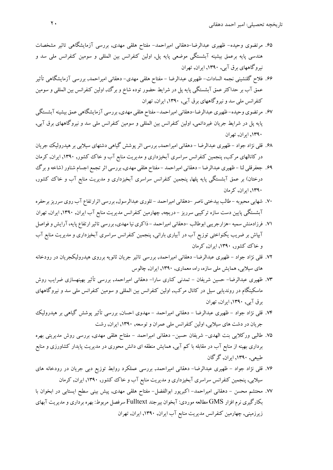- .65 مرتضوي وحيده- ظهيري عبدالرضا-دهقاني اميراحمد- مفتاح هلقي مهدي, بررسي آزمايشگاهي تاثير مشخصات هندسي پايه برعمق بيشينه آبشستگي موضعي پايه پل, اولين كنفرانس بين المللي و سومين كنفرانس ملي سد و نيروگاههاي برق آبي, ,1390 ايران, تهران
- .66 فلاح گلنشيني نجمه السادات- ظهيري عبدالرضا مفتاح هلقي مهدي- دهقاني اميراحمد, بررسي آزمايشگاهي تأثير عمق آب بر حداكثر عمق آبشستگي پايه پل در شرايط حضور توده شاخ و برگ، اولين كنفرانس بين المللي و سومين كنفرانس ملي سد و نيروگاههاي برق آبي, ,1390 ايران, تهران
- .67 مرتضوي وحيده- ظهيري عبدالرضا-دهقاني اميراحمد- مفتاح هلقي مهدي, بررسي آزمايشگاهي عمق بيشينهآبشستگي پايه پل در شرايط جريان غيردائمي, اولين كنفرانس بين المللي و سومين كنفرانس ملي سد و نيروگاههاي برق آبي, ,1390 ايران, تهران
- .68 قلي نژاد جواد ظهيري عبدالرضا دهقاني اميراحمد, بررسي اثرپوشش گياهي دشتهاي سيلابي برهيدروليك جريان در كانالهاي مركب, پنجمين كنفرانس سراسري آبخيزداري و مديريت منابع آب و خاك كشور, ,1390 ايران, كرمان
- .69 جعفرقلي لنا ظهيري عبدالرضا دهقاني اميراحمد مفتاح هلقي مهدي, بررسي اثرتجمع اجسام شناور (شاخهوبرگ درختان) بر عمق آبشستگي پايه پلها, پنجمين كنفرانس سراسري آبخيزداري و مديريت منابع آب و خاك كشور, ,1390 ايران, كرمان
- .70 شهابي محبوبه طالب بيدختي ناصر -دهقاني اميراحمد تلوري عبدالرسول, بررسي اثرارتفاع آب روي سرريزبرحفره آبشستگي پايين دست سازه تركيبي سرريز - دريچه, چهارمين كنفرانس مديريت منابع آب ايران, ,1390 ايران, تهران
- .<br>۷۱ فرزادمنش سميه -هزارجريبي ابوطالب -دهقاني اميراحمد ذاكري نيا مهدي, بررسي تاثير ارتفاع پايه، آرايش و فواصل آبپاش بر ضريب يكنواختي توزيع آب در آبياري باراني, پنجمين كنفرانس سراسري آبخيزداري و مديريت منابع آب و خاك كشور, ,1390 ايران, كرمان
- .72 قلي نژاد جواد ظهيري عبدالرضا- دهقاني اميراحمد, بررسي تاثير جريان ثانويه برروي هيدروليكجريان در رودخانه هاي سيلابي, همايش ملي سازه، راه، معماري, ,1390 ايران, چالوس
- .73 ظهيري عبدالرضا- حسين شريفان تمدني كناري سارا- دهقاني اميراحمد, بررسي تأثير بهينهسازي ضرايب روش ماسكينگام در رونديابي سيل در كانال مركب, اولين كنفرانس بين المللي و سومين كنفرانس ملي سد و نيروگاههاي برق آبي, ,1390 ايران, تهران
- .74 قلي نژاد جواد ظهيري عبدالرضا دهقاني اميراحمد مهدوي احسان, بررسي تأثير پوشش گياهي بر هيدروليك جريان در دشت هاي سيلابي, اولين كنفرانس ملي عمران و توسعه, ,1390 ايران, رشت
- .75 طالبي وركلايي بنت الهدي- شريفان حسين- دهقاني اميراحمد مفتاح هلقي مهدي, بررسي روش مديريتي بهره برداري بهينه از منابع آب در مقابله با كم آبي, همايش منطقه اي دانش محوري در مديريت پايدار كشاورزي و منابع طبيعي, ,1390 ايران, گرگان
- .76 قلي نژاد جواد ظهيري عبدالرضا- دهقاني اميراحمد, بررسي عملكرد روابط توزيع دبي جريان در رودخانه هاي سيلابي, پنجمين كنفرانس سراسري آبخيزداري ومديريت منابع آب و خاك كشور, ,1390 ايران, كرمان
- .77 محتشم محسن دهقاني اميراحمد- اكبرپور ابوالفضل- مفتاح هلقي مهدي, پيش بيني سطح ايستابي در ابخوان با بكارگيري نرم افزار GMS مطالعه موردي: آبخوان بيرجند Fulltext سرفصل مربوط: بهره برداري ومديريت آبهاي زيرزميني, چهارمين كنفرانس مديريت منابع آب ايران, ,1390 ايران, تهران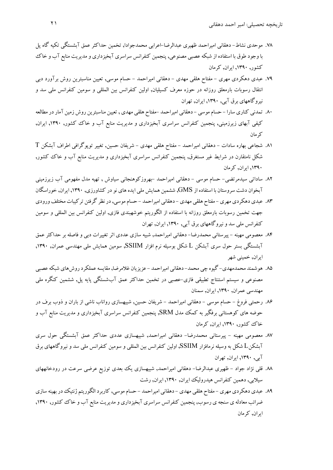- .78 موحدي نشاط- دهقاني اميراحمد ظهيري عبدالرضا-اعرابي محمدجوادا, تخمين حداكثر عمق آبشستگي تكيه گاه پل با وجود طوق با استفاده از شبكه عصبي مصنوعي, پنجمين كنفرانس سراسري آبخيزداري و مديريت منابع آب و خاك كشور, ,1390 ايران, كرمان
- .79 عبدي دهكردي مهري مفتاح هلقي مهدي دهقاني اميراحمد حسام موسي, تعيين مناسبترين روش برآورد دبي انتقال رسوبات بارمعلق روزانه در حوزه معرف كسيليان, اولين كنفرانس بين المللي و سومين كنفرانس ملي سد و نيروگاههاي برق آبي, ,1390 ايران, تهران
- ۸۰. تمدني كناري سارا حسام موسى دهقاني اميراحمد –مفتاح هلقي مهدي , تعيين مناسبترين روش زمين آمار در مطالعه كيفي آبهاي زيرزميني, پنجمين كنفرانس سراسري آبخيزداري و مديريت منابع آب و خاك كشور, ,1390 ايران, كرمان
- .81 شجاعي بهاره سادات دهقاني اميراحمد مفتاح هلقي مهدي شريفان حسين, تغيير توپوگرافي اطراف آبشكن T شكل نامتقارن در شرايط غير مستغرق, پنجمين كنفرانس سراسري آبخيزداري و مديريت منابع آب و خاك كشور, ,1390 ايران, كرمان
- .82 ساداتي سيدمرتضي- حسام موسي دهقاني اميراحمد -بهروزكوهنجاني سياوش , تهيه مدل مفهومي آب زيرزميني آبخوان دشت سروستان با استفاده از GMS, ششمين همايش ملي ايدههاي نو در كشاورزي, ,1390 ايران, خوراسگان
- ۸۳. عبدي دهكردي مهري –مفتاح هلقي مهدي –دهقاني اميراحمد حسام موسي, در نظر گرفتن تركيبات مختلف ورودي جهت تخمين رسوبات بارمعلق روزانه با استفاده از الگوريتم خوشهبندي فازي, اولين كنفرانس بين المللي و سومين كنفرانس ملي سد و نيروگاههاي برق آبي, ,1390 ايران, تهران
- .84 معصومي مهينه پيرستاني محمدرضا- دهقاني اميراحمد, شبيه سازي عددي اثر تغييرات دبي و فاصله بر حداكثر عمق آبشستگي بستر حول سري آبشكن L شكل بوسيله نرم افزار SSIIM, سومين همايش ملي مهندسي عمران, ,1390 ايران, خميني شهر
- ۸۵. هو شمند محمدمهدي- گيوه چي محمد- دهقاني اميراحمد عزيزيان غلامرضا, مقايسه عملكر د روش هاي شبكه عصبي مصنوعي و سيستم استنتاج تطبيقي فازي-عصبي در تخمين حداكثر عمق آبشستگي پايه پل, ششمين كنگره ملي مهندسي عمران, ,1390 ايران, سمنان
- .86 رحمتي فروغ حسام موسي دهقاني اميراحمد شريفان حسين, شبيهسازي رواناب ناشي از باران و ذوب برف در حوضه هاي كوهستاني برفگير به كمك مدل SRM, پنجمين كنفرانس سراسري آبخيزداري و مديريت منابع آب و خاك كشور, ,1390 ايران, كرمان
- .87 معصومي مهينه پيرستاني محمدرضا- دهقاني اميراحمد, شبيهسازي عددي حداكثر عمق آبشستگي حول سري آبشكنL شكل به وسيله نرمافزار SSIIM, اولين كنفرانس بين المللي و سومين كنفرانس ملي سد و نيروگاههاي برق آبي, ,1390 ايران, تهران
- .88 قلي نژاد جواد ظهيري عبدالرضا- دهقاني اميراحمد, شبيهسازي يك بعدي توزيع عرضي سرعت در رودخانههاي سيلابي, دهمين كنفرانس هيدروليك ايران, ,1390 ايران, رشت
- .89 عبدي دهكردي مهري مفتاح هلقي مهدي دهقاني اميراحمد حسامموسي, كاربردالگوريتم ژنتيكدربهينه سازي ضرائب معادله ي سنجه ي رسوب, پنجمين كنفرانس سراسري آبخيزداري ومديريت منابع آب و خاك كشور, ,1390 ايران, كرمان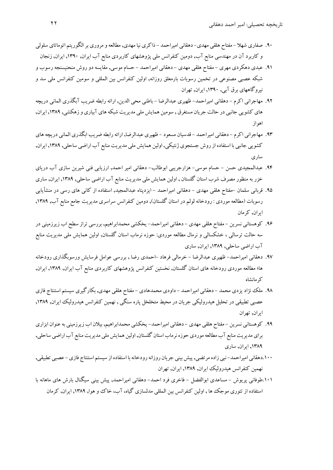- ۹۰. صفاري شهلا مفتاح هلقي مهدي- دهقاني اميراحمد ذاكري نيا مهدي, مطالعه و مروري بر الگوريتم اتوماتاي سلولي و كاربرد آن در مهندسي منابع آب, دومين كنفرانس ملي پژوهشهاي كاربردي منابع آب ايران, ,1390 ايران, زنجان
- .91 عبدي دهكردي مهري مفتاح هلقي مهدي دهقاني اميراحمد حسام موسي, مقايسه دوروش منحنيسنجه رسوب و شبكه عصبي مصنوعي در تخمين رسوبات بارمعلق روزانه, اولين كنفرانس بين المللي و سومين كنفرانس ملي سد و نيروگاههاي برق آبي, ,1390 ايران, تهران
- .92 مهاجراني اكرم دهقاني اميراحمد- ظهيري عبدالرضا باطني محي الدين, ارائه رابطه ضريب آبگذري الماني دريچه هاي كشويي جانبي در حالت جريان مستغرق , سومين همايش ملي مديريت شبكه هاي آبياري و زهكشي, ١٣٨٩, ايران, اهواز
- ۹۳. مهاجراني اكرم دهقاني اميراحمد قدسيان مسعود ظهيري عبدالرضا, ارائه رابطه ضريب ابگذري الماني دريچه هاي كشويي جانبي با استفاده از روش جستجوي ژنتيكي, اولين همايش ملي مديريت منابع آب اراضي ساحلي, ١٣٨٩, ايران, ساري
- .94 عبدالمجيدي حسن حسام موسي- هزارجريبي ابوطالب- دهقاني امير احمد, ارزيابي فني شيرين سازي آب درياي خزر به منظور مصرف شرب استان گلستان , اولين همايش ملي مديريت منابع آب اراضي ساحلي, ,1389 ايران, ساري
- .95 قرباني سلمان -مفتاح هلقي مهدي دهقاني اميراحمد ايزدپناه عبدالمجيد, استفاده از كاني هاي رسي در منشأيابي رسوبات (مطالعه موردي : رودخانه لولم در استان گلستان), دومين كنفرانس سراسري مديريت جامع منابع آب, ,1389 ايران, كرمان
- .96 كوهستاني نسرين مفتاح هلقي مهدي دهقاني اميراحمد- يخكشي محمدابراهيم, بررسي تراز سطح اب زيرزميني در سه حالت ترسالي ، خشكسالي و نرمال مطالعه موردي: حوزه نرماب استان گلستان, اولين همايش ملي مديريت منابع آب اراضي ساحلي, ,1389 ايران, ساري
- .97 دهقاني اميراحمد- ظهيري عبدالرضا خرمالي فرهاد -احمدي رضا , بررسي عوامل فرسايش ورسوبگذاري رودخانه ها؛ مطالعه موردي رودخانه هاي استان گلستان, نخستين كنفرانس پژوهشهاي كاربردي منابع آب ايران, ,1389 ايران, كرمانشاه
- .98 ملك نژاديزدي محمد دهقاني اميراحمد داودي محمدهادي مفتاح هلقي مهدي, بكارگيري سيستم استنتاج فازي عصبي تطبيقي در تحليل هيدروليكي جريان در محيط متخلخل پاره سنگي , نهمين كنفرانس هيدروليك ايران, ١٣٨٩, ايران, تهران
- .99 كوهستاني نسرين مفتاح هلقي مهدي دهقاني اميراحمد- يخكشي محمدابراهيم, بيلان اب زيرزميني بهعنوان ابزاري براي مديريت منابع آب مطالعه موردي حوزه نرماب استان گلستان, اولين همايش ملي مديريت منابع آب اراضي ساحلي, ,1389 ايران, ساري
- .100دهقاني اميراحمد- نبي زاده مرتضي, پيش بيني جريان روزانه رودخانه با استفاده از سيستم استنتاج فازي عصبي تطبيقي, نهمين كنفرانس هيدروليك ايران, ,1389 ايران, تهران
- .101طوفاني پريوش مساعدي ابوالفضل فاخري فرد احمد- دهقاني اميراحمد, پيش بيني سيگنال بارش هاي ماهانه با استفاده از تئوري موجك ها , اولين كنفرانس بين المللي مدلسازي گياه، آب، خاك و هوا, ,1389 ايران, كرمان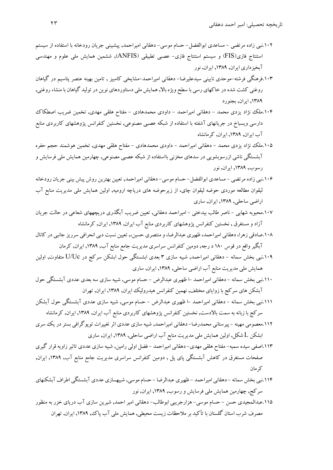- .102نبي زاده مرتضي مساعدي ابوالفضل- حسام موسي- دهقاني اميراحمد, پيشبيني جريان رودخانه با استفاده از سيستم استنتاج فازي(FIS (و سيستم استنتاج فازي- عصبي تطبيقي (ANFIS(, ششمين همايش ملي علوم و مهندسي آبخيزداري ايران, ,1389 ايران, نور
- .103فرهنگي فرشته-موحدي ناييني سيدعليرضا- دهقاني اميراحمد-مشايخي كامبيز , تامين بهينه عنصر پتاسيم در گياهان روغني كشت شده در خاكهاي رسي با سطح ويژه بالا, همايش ملي دستاوردهاي نوين در توليد گياهان با منشاء روغني, ,1389 ايران, بجنورد
- .104ملك نژاد يزدي محمد دهقاني اميراحمد داودي محمدهادي مفتاح هلقي مهدي, تخمين ضريب اصطكاك دارسي ويسباخ در جريانهاي آشفته با استفاده از شبكه عصبي مصنوعي, نخستين كنفرانس پژوهشهاي كاربردي منابع آب ايران, ,1389 ايران, كرمانشاه
- .105ملك نژاد يزدي محمد دهقاني اميراحمد داودي محمدهادي مفتاح هلقي مهدي, تخمين هوشمند حجم حفره آبشستگي ناشي ازرسوبشويي در سدهاي مخزني بااستفاده از شبكه عصبي مصنوعي, چهارمين همايش ملي فرسايش و رسوب, ,1389 ايران, نور
- .106نبي زاده مرتضي مساعدي ابوالفضل- حسام موسي- دهقاني اميراحمد, تعيين بهترين روش پيش بيني جريان رودخانه ليقوان مطالعه موردي حوضه ليقوان چاي، از زيرحوضه هاي درياچه اروميه, اولين همايش ملي مديريت منابع آب اراضي ساحلي, ,1389 ايران, ساري
- .107محبوبه شهابي ناصر طالب بيدختي اميراحمد دهقاني, تعيين ضريب آبگذري دريچههاي شعاعي در حالت جريان آزاد و مستغرق , نخستين كنفرانس پژوهشهاي كاربردي منابع آب ايران, ,1389 ايران, كرمانشاه
- .108صادقي زهرا،دهقاني اميراحمد، ظهيري عبدالرضا،ومنتصري حسين,، تعيين نسبت دبي انحرافي سرريز جانبي در كانال آبگيرواقع در قوس 180 د رجه, دومين كنفرانس سراسري مديريت جامع منابع آب, ,1389 ايران, كرمان
- .109نبي بخش سمانه دهقاني اميراحمد, شبيه سازي 3 بعدي ابشستگي حول ابشكن سركج در Uc/U متفاوت, اولين همايش ملي مديريت منابع آب اراضي ساحلي, ,1389 ايران, ساري
- .110نبي بخش سمانه دهقاني اميراحمد -ا ظهيري عبدالرض حسام موسي, شبيه سازي سه بعدي عددي آبشستگي حول آبشكن هاي سركج با زواياي مختلف, نهمين كنفرانس هيدروليك ايران, ,1389 ايران, تهران
- .111نبي بخش سمانه دهقاني اميراحمد -ا ظهيري عبدالرض حسام موسي, شبيه سازي عددي آبشستگي حول آبشكن سركج با زبانه به سمت بالادست, نخستين كنفرانس پژوهشهاي كاربردي منابع آب ايران, ,1389 ايران, كرمانشاه
- .112معصومي مهينه پيرستاني محمدرضا- دهقاني اميراحمد, شبيه سازي عددي اثرتغييرات توپوگرافي بستردريك سري ابشكن L شكل, اولين همايش ملي مديريت منابع آب اراضي ساحلي, ,1389 ايران, ساري
- .113اصفي سيده سميه- مفتاح هلقي مهدي- دهقاني اميراحمد فضل اولي رامين, شبيه سازي عددي تاثيرزاويه قرار گيري صفحات مستغرق در كاهش آبشستگي پاي پل , دومين كنفرانس سراسري مديريت جامع منابع آب, ,1389 ايران, كرمان
- .114نبي بخش سمانه دهقاني اميراحمد ظهيري عبدالرضا حسامموسي, شبيهسازي عددي آبشستگي اطراف آبشكنهاي سركج, چهارمين همايش ملي فرسايش ورسوب, ,1389 ايران, نور
- .115عبدالمجيدي حسن حسام موسي- هزارجريبي ابوطالب- دهقاني امير احمد, شيرين سازي آب درياي خزر به منظور مصرف شرب استان گلستان با تأكيد بر ملاحظات زيست محيطي, همايش ملي آب پاك, ,1389 ايران, تهران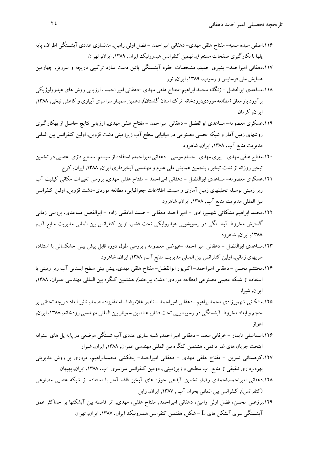- .116اصفي سيده سميه- مفتاح هلقي مهدي- دهقاني اميراحمد فضل اولي رامين, مدلسازي عددي آبشستگي اطراف پايه پلها با بكارگيري صفحات مستغرق, نهمين كنفرانس هيدروليك ايران, ,1389 ايران, تهران
- .117دهقاني اميراحمد- بشيري حميد, مشخصات حفره آبشستگي پائين دست سازه تركيبي دريچه و سرريز, چهارمين همايش ملي فرسايش ورسوب, ,1389 ايران, نور
- .118مساعدي ابوالفضل زنگانه محمد ابراهيم-مفتاح هلقي مهدي -دهقاني امير احمد , ارزيابي روش هاي هيدرولوژيكي بر آورد بار معلق (مطالعه موردي:رودخانه اترك استان گلستان), دهمين سمينار سراسري آبياري و كاهش تبخير, ١٣٨٨, ايران, كرمان
- .119عسكري معصومه- مساعدي ابوالفضل دهقاني اميراحمد مفتاح هلقي مهدي, ارزيابي نتايج حاصل از بهكارگيري روشهاي زمين آمار و شبكه عصبي مصنوعي در ميانيابي سطح آب زيرزميني دشت قزوين, اولين كنفرانس بين المللي مديريت منابع آب, ,1388 ايران, شاهرود
- .120مفتاح هلقي مهدي پيري مهدي -حسام موسي دهقاني اميراحمد, استفاده از سيستم استنتاج فازي-عصبي درتخمين تبخيرروزانه از تشت تبخير , پنجمين همايش ملي علوم و مهندسي آبخيزداري ايران, ,1388 ايران, كرج
- .121عسكري معصومه- مساعدي ابوالفضل دهقاني اميراحمد مفتاح هلقي مهدي, بررسي تغييرات مكاني كيفيت آب زير زميني بوسيله تحليلهاي زمين آماري و سيستم اطلاعات جغرافيايي، مطالعه موردي-دشت قزوين, اولين كنفرانس بين المللي مديريت منابع آب, ,1388 ايران, شاهرود
- .122محمد ابراهيم مشكاتي شهميرزادي امير احمد دهقاني صمد امامقلي زاده ابوالفضل مساعدي, بررسي زماني گسترش مخروط آبشستگي در رسوبشويي هيدروليكي تحت فشار, اولين كنفرانس بين المللي مديريت منابع آب, ,1388 ايران, شاهرود
- .123مساعدي ابوالفضل دهقاني امير احمد -عيوضي معصومه , بررسي طول دوره قابل پيش بيني خشكسالي با استفاده سريهاي زماني, اولين كنفرانس بين المللي مديريت منابع آب, ,1388 ايران, شاهرود
- .124محتشم محسن دهقاني اميراحمد- اكبرپور ابوالفضل- مفتاح هلقي مهدي, پيش بيني سطح ايستابي آب زير زميني با استفاده از شبكه عصبي مصنوعي (مطالعه موردي: دشت بيرجند), هشتمين كنگره بين المللي مهندسي عمران, ,1388 ايران, شيراز
- .125مشكاتي شهميرزادي محمدابراهيم -دهقاني اميراحمد ناصر غلامرضا- امامقليزاده صمد, تاثير ابعاد دريچه تحتاني بر حجم وابعاد مخروط آبشستگي در رسوبشويي تحت فشار, هشتمين سمينار بين المللي مهندسي رودخانه, ,1388 ايران, اهواز
- .126اسماعيلي تايماز خرقاني سعيد دهقاني امير احمد, شبيه سازي عددي آب شستگي موضعي در پايه پل هاي استوانه ايتحت جريان هاي غيردائمي, هشتمين كنگره بين المللي مهندسي عمران, ,1388 ايران, شيراز
- .127كوهستاني نسرين مفتاح هلقي مهدي دهقاني اميراحمد- يخكشي محمدابراهيم, مروري بر روش مديريتي بهرهبرداري تلفيقي از منابع آب سطحي و زيرزميني , دومين كنفرانس سراسري آب, ,1388 ايران, بهبهان
- ۱۲۸.دهقاني اميراحمد,احمدي رضا, تخمين آبدهي حوزه هاي آبخيز فاقد آمار با استفاده از شبكه عصبي مصنوعي (كنفرانس), كنفرانس بين المللي بحران آب , ,1387 ايران, زابل
- .129برزعلي محسن، فضل اولي رامين، دهقاني اميراحمد, مفتاح هلقي، مهدي, اثر فاصله بين آبشكنها بر حداكثر عمق آبشستگي سري آبشكن هاي L – شكل, هفتمين كنفرانس هيدروليك ايران, ,1387 ايران, تهران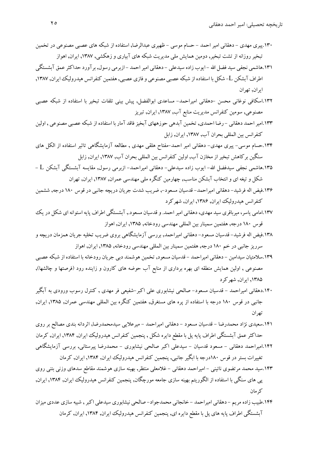- .130پيري مهدي دهقاني امير احمد حسام موسي ظهيري عبدالرضا, استفاده از شبكه هاي عصبي مصنوعي در تخمين تبخيرروزانه از تشت تبخير, دومين همايش ملي مديريت شبكه هاي آبياري و زهكشي, ,1387 ايران, اهواز
- .131هاشمي نجفي سيد فضل االله ايوب زاده سيدعلي دهقاني اميراحمد ازبرمي رسول, برآورد حداكثرعمق آبشستگي اطراف آبشكن L- شكل با استفاده از شبكه عصبي مصنوعي و فازي عصبي, هفتمين كنفرانس هيدروليك ايران, ۱۳۸۷, ايران, تهران
- .132اسكافي نوغاني محسن -دهقاني اميراحمد- مساعدي ابوالفضل, پيش بيني تلفات تبخير با استفاده از شبكه عصبي مصنوعي, سومين كنفرانس مديريت منابع آب, ,1387 ايران, تبريز
- ۱۳۳.امير احمد دهقاني رضا احمدي, تخمين آبدهي حوزههاي آبخيز فاقد آمار با استفاده از شبكه عصبي مصنوعي , اولين كنفرانس بين المللي بحران آب, ,1387 ايران, زابل
- .134حسام موسي- پيري مهدي- دهقاني امير احمد-مفتاح هلقي مهدي , مطالعه آزمايشگاهي تاثير استفاده از الكل هاي سنگين بركاهش تبخيراز مخازن آب, اولين كنفرانس بين المللي بحران آب, ,1387 ايران, زابل
- .135هاشمي نجفي سيدفضل االله- ايوب زاده سيدعلي- دهقاني اميراحمد- ازبرمي رسول, مقايسه آبشستگي آبشكن L شكل و تيغه اي و انتخاب آبشكن مناسب, چهارمين كنگره ملي مهندسي عمران, ,1387 ايران, تهران
- .136فيض اله فرشيد- دهقاني اميراحمد- قدسيان مسعود,- ضريب شدت جريان دريچه جانبي در قوس 180 درجه, ششمين كنفرانس هيدروليك ايران, ,1386 ايران, شهركرد
- ۱۳۷.امامي ياسر، ميرباقري سيد مهدي، دهقاني امير احمد. و قدسيان مسعود., آبشستگي اطراف پايه استوانه اي شكل در يك قوس 180 درجه, هفتمين سمينار بين المللي مهندسي رودخانه, ,1385 ايران, اهواز
- .138فيض اله فرشيد- قدسيان مسعود- دهقاني اميراحمد, بررسي آزمايشگاهي بروي ضريب تخليه جريان همزمان دريچه و سرريز جانبي در خم 180 درجه, هفتمين سمينار بين المللي مهندسي رودخانه, ,1385 ايران, اهواز
- 1٣٩ سلامتيان سيدامين دهقاني اميراحمد قدسيان مسعود, تخمين هوشمند دبي جريان رودخانه با استفاده از شبكه عصبي مصنوعي , اولين همايش منطقه اي بهره برداري از منابع آب حوضه هاي كارون و زاينده رود (فرصتها و چالشها), ,1385 ايران, شهركرد
- .140دهقاني اميراحمد قدسيان مسعود- صالحي نيشابوري علي اكبر-شفيعي فر مهدي , كنترل رسوب ورودي به آبگير جانبي در قوس 180 درجه با استفاده از پره هاي مستغرق, هفتمين كنگره بين المللي مهندسي عمران, ,1385 ايران, تهران
- .141سعيدي نژاد محمدرضا قدسيان مسعود دهقاني اميراحمد ميرعلايي سيدمحمدرضا, اثردانه بندي مصالح بر روي حداكثرعمق آبشستگي اطراف پايه پل با مقطع دايره شكل , پنجمين كنفرانس هيدروليك ايران, ,1384 ايران, كرمان
- .142اميراحمد دهقاني مسعود قدسيان سيدعلي اكبر صالحي نيشابوري محمدرضا پيرستاني, بررسي آزمايشگاهي تغييرات بستردر قوس 180درجه با ابگير جانبي, پنجمين كنفرانس هيدروليك ايران, ,1384 ايران, كرمان
- .143سيد محمد مرتضوي نائيني اميراحمد دهقاني غلامعلي منتظر, بهينه سازي هوشمند مقاطع سدهاي وزني بتني روي پي هاي سنگي با استفاده از الگوريتم بهينه سازي جامعه مورچگان, پنجمين كنفرانس هيدروليك ايران, ,1384 ايران, كرمان
- .144طبيب زاده مريم دهقاني اميراحمد خانجاني محمدجواد- صالحي نيشابوري سيدعلي اكبر , شبيه سازي عددي ميزان آبشستگي اطراف پايه هاي پل با مقطع دايره اي, پنجمين كنفرانس هيدروليك ايران, ,1384 ايران, كرمان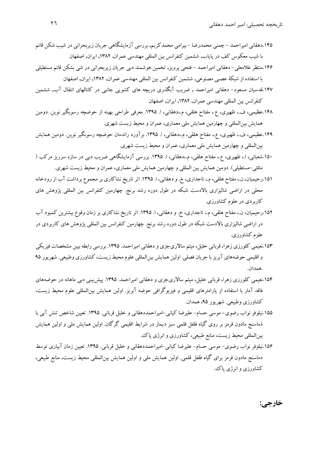- .145دهقاني اميراحمد چمني محمدرضا بيرامي محمدكريم, بررسي آزمايشگاهي جريان زيربحراني در شيب شكن قائم با شيب معكوس كف در پاياب, ششمين كنفرانس بين المللي مهندسي عمران, ,1382 ايران, اصفهان
- .146منتظر غلامعلي- دهقاني اميراحمد فتحي پرويز, تخمين هوشمند دبي جريان زيربحراني در شي بشكن قائم مستطيلي با استفاده از شبكة عصبي مصنوعي, ششمين كنفرانس بين المللي مهندسي عمران, ,1382 ايران, اصفهان
- .147قدسيان مسعود- دهقاني اميراحمد , ضريب آبگذري دريچه هاي كشويي جانبي در كانالهاي انتقال آب, ششمين كنفرانس بين المللي مهندسي عمران, ,1382 ايران, اصفهان
- .148عظيمي، ف،. ظهيري، ع،. مفتاح هلقي، م،.دهقاني، ا. .1395 معرفي طراحي بهينه از حوضچه رسوبگير نوين. دومين همايش بينالمللي و چهارمين همايش ملي معماري، عمران و محيط زيست شهري.
- .149عظيمي، ف،. ظهيري، ع،. مفتاح هلقي، م،.دهقاني، ا. .1395 برآورد راندمان حوضچه رسوبگير نوين. دومين همايش بينالمللي و چهارمين همايش ملي معماري، عمران و محيط زيست شهري.
- .150شعباني، ا،. ظهيري، ع،. مفتاح هلقي، م،.دهقاني، ا. .1395 بررسي آزمايشگاهي ضريب دبي در سازه سرريز مركب ( مثلثي-مستطيلي). دومين همايش بين المللي و چهارمين همايش ملي معماري، عمران و محيط زيست شهري.
- .151رحيميان، ن،. مفتاح هلقي،م،. تاجداري، خ. ودهقاني، ا. .1395 اثرتاريخ نشاكاري برمجموع برداشت آب ازرودخانه محلي در اراضي شاليزاري بالادست شبكه در طول دوره رشد برنج. چهارمين كنفرانس بين المللي پژوهش هاي كاربردي در علوم كشاورزي.
- .152رحيميان، ن،. مفتاح هلقي، م،. تاجداري، خ. و دهقاني، ا. .1395 اثر تاريخ نشاكاري بر زمان وقوع بيشترين كمبود آب در اراضي شاليزاري بالادست شبكه در طول دوره رشد برنج. چهارمين كنفرانس بين المللي پژوهش هاي كاربردي در علوم كشاورزي.
- .153نعيمي كلورزي زهرا، قرباني خليل، ميثم سالاريجزي ودهقاني اميراحمد. .1395 بررسي رابطهبيين مشخصات فيزيكي و اقليمي حوضههاي آبريز با جريان فصلي. اولين همايش بين المللي علوم محيط زيست، كشاورزي وطبيعي. شهريور ٩٥ .همدان.
- .154نعيمي كلورزي زهرا، قرباني خليل، ميثم سالاريجزي و دهقاني اميراحمد. .1395 پيشبيني دبي ماهانه در حوضههاي فاقد آمار با استفاده از پارامترهاي اقليمي و فيزيوگرافي حوضه آبريز. اولين همايش بينالمللي علوم محيط زيست، كشاورزي وطبيعي. شهريور ۹۵، همدان.
- .155نيلوفر نواب رضوي- موسي حسام- عليرضا كياني-اميراحمددهقاني و خليل قرباني. .1395 تعيين شاخص تنش آبي با ذماسنج مادون قرمز بر روي گياه فلفل قلمي سبز ديماز در شرايط اقليمي گرگان. اولين همايش ملي و اولين همايش بينالمللي محيط زيست، منابع طبيعي، كشاورزي وانرژي پاك.
- .156نيلوفر نواب رضوي- موسي حسام- عليرضا كياني-اميراحمددهقاني و خليل قرباني. .1395 تعيين زمان آبياري توسط دماسنج مادون قرمز براي گياه فلفل قلمي. اولين همايش ملي و اولين همايش بينالمللي محيط زيست، منابع طبيعي، كشاورزي وانرژي پاك.

**خارجي:**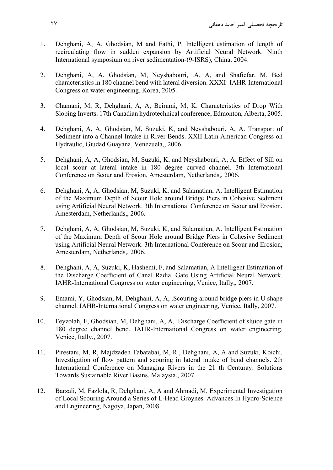- 1. Dehghani, A, A, Ghodsian, M and Fathi, P. Intelligent estimation of length of recirculating flow in sudden expansion by Artificial Neural Network. Ninth International symposium on river sedimentation-(9-ISRS), China, 2004.
- 2. Dehghani, A, A, Ghodsian, M, Neyshabouri, .A, A, and Shafiefar, M. Bed characteristics in 180 channel bend with lateral diversion. XXXI- IAHR-International Congress on water engineering, Korea, 2005.
- 3. Chamani, M, R, Dehghani, A, A, Beirami, M, K. Characteristics of Drop With Sloping Inverts. 17th Canadian hydrotechnical conference, Edmonton, Alberta, 2005.
- 4. Dehghani, A, A, Ghodsian, M, Suzuki, K, and Neyshabouri, A, A. Transport of Sediment into a Channel Intake in River Bends. XXII Latin American Congress on Hydraulic, Giudad Guayana, Venezuela,, 2006.
- 5. Dehghani, A, A, Ghodsian, M, Suzuki, K, and Neyshabouri, A, A. Effect of Sill on local scour at lateral intake in 180 degree curved channel. 3th International Conference on Scour and Erosion, Amesterdam, Netherlands,, 2006.
- 6. Dehghani, A, A, Ghodsian, M, Suzuki, K, and Salamatian, A. Intelligent Estimation of the Maximum Depth of Scour Hole around Bridge Piers in Cohesive Sediment using Artificial Neural Network. 3th International Conference on Scour and Erosion, Amesterdam, Netherlands,, 2006.
- 7. Dehghani, A, A, Ghodsian, M, Suzuki, K, and Salamatian, A. Intelligent Estimation of the Maximum Depth of Scour Hole around Bridge Piers in Cohesive Sediment using Artificial Neural Network. 3th International Conference on Scour and Erosion, Amesterdam, Netherlands,, 2006.
- 8. Dehghani, A, A, Suzuki, K, Hashemi, F, and Salamatian, A Intelligent Estimation of the Discharge Coefficient of Canal Radial Gate Using Artificial Neural Network. IAHR-International Congress on water engineering, Venice, Itally,, 2007.
- 9. Emami, Y, Ghodsian, M, Dehghani, A, A, .Scouring around bridge piers in U shape channel. IAHR-International Congress on water engineering, Venice, Itally, 2007.
- 10. Feyzolah, F, Ghodsian, M, Dehghani, A, A, .Discharge Coefficient of sluice gate in 180 degree channel bend. IAHR-International Congress on water engineering, Venice, Itally,, 2007.
- 11. Pirestani, M, R, Majdzadeh Tabatabai, M, R., Dehghani, A, A and Suzuki, Koichi. Investigation of flow pattern and scouring in lateral intake of bend channels. 2th International Conference on Managing Rivers in the 21 th Centuray: Solutions Towards Sustainable River Basins, Malaysia,, 2007.
- 12. Barzali, M, Fazlola, R, Dehghani, A, A and Ahmadi, M, Experimental Investigation of Local Scouring Around a Series of L-Head Groynes. Advances In Hydro-Science and Engineering, Nagoya, Japan, 2008.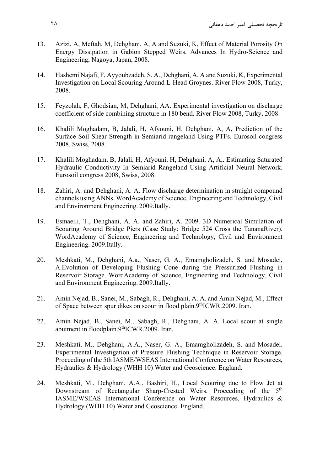- 13. Azizi, A, Meftah, M, Dehghani, A, A and Suzuki, K, Effect of Material Porosity On Energy Dissipation in Gabion Stepped Weirs. Advances In Hydro-Science and Engineering, Nagoya, Japan, 2008.
- 14. Hashemi Najafi, F, Ayyoubzadeh, S. A., Dehghani, A, A and Suzuki, K, Experimental Investigation on Local Scouring Around L-Head Groynes. River Flow 2008, Turky, 2008.
- 15. Feyzolah, F, Ghodsian, M, Dehghani, AA. Experimental investigation on discharge coefficient of side combining structure in 180 bend. River Flow 2008, Turky, 2008.
- 16. Khalili Moghadam, B, Jalali, H, Afyouni, H, Dehghani, A, A, Prediction of the Surface Soil Shear Strength in Semiarid rangeland Using PTFs. Eurosoil congress 2008, Swiss, 2008.
- 17. Khalili Moghadam, B, Jalali, H, Afyouni, H, Dehghani, A, A,. Estimating Saturated Hydraulic Conductivity In Semiarid Rangeland Using Artificial Neural Network. Eurosoil congress 2008, Swiss, 2008.
- 18. Zahiri, A. and Dehghani, A. A. Flow discharge determination in straight compound channels using ANNs. WordAcademy of Science, Engineering and Technology, Civil and Environment Engineering. 2009.Itally.
- 19. Esmaeili, T., Dehghani, A. A. and Zahiri, A. 2009. 3D Numerical Simulation of Scouring Around Bridge Piers (Case Study: Bridge 524 Cross the TananaRiver). WordAcademy of Science, Engineering and Technology, Civil and Environment Engineering. 2009.Itally.
- 20. Meshkati, M., Dehghani, A.a., Naser, G. A., Emamgholizadeh, S. and Mosadei, A.Evolution of Developing Flushing Cone during the Pressurized Flushing in Reservoir Storage. WordAcademy of Science, Engineering and Technology, Civil and Environment Engineering. 2009.Itally.
- 21. Amin Nejad, B., Sanei, M., Sabagh, R., Dehghani, A. A. and Amin Nejad, M., Effect of Space between spur dikes on scour in flood plain.9<sup>th</sup>ICWR.2009. Iran.
- 22. Amin Nejad, B., Sanei, M., Sabagh, R., Dehghani, A. A. Local scour at single abutment in floodplain.9<sup>th</sup>ICWR.2009. Iran.
- 23. Meshkati, M., Dehghani, A.A., Naser, G. A., Emamgholizadeh, S. and Mosadei. Experimental Investigation of Pressure Flushing Technique in Reservoir Storage. Proceeding of the 5th IASME/WSEAS International Conference on Water Resources, Hydraulics & Hydrology (WHH 10) Water and Geoscience. England.
- 24. Meshkati, M., Dehghani, A.A., Bashiri, H., Local Scouring due to Flow Jet at Downstream of Rectangular Sharp-Crested Weirs. Proceeding of the 5<sup>th</sup> IASME/WSEAS International Conference on Water Resources, Hydraulics & Hydrology (WHH 10) Water and Geoscience. England.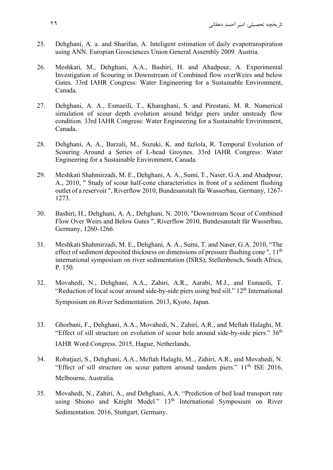- 25. Dehghani, A. a. and Sharifan, A. Inteligent estimation of daily evapotranspiration using ANN. Europian Geosciences Union General Assembly 2009. Austria.
- 26. Meshkati, M., Dehghani, A.A., Bashiri, H. and Ahadpour, A. Experimental Investigation of Scouring in Downstream of Combined flow overWeirs and below Gates. 33rd IAHR Congress: Water Engineering for a Sustainable Environment, Canada.
- 27. Dehghani, A. A., Esmaeili, T., Kharaghani, S. and Pirestani, M. R. Numerical simulation of scour depth evolution around bridge piers under unsteady flow condition. 33rd IAHR Congress: Water Engineering for a Sustainable Environment, Canada.
- 28. Dehghani, A. A., Barzali, M., Suzuki, K. and fazlola, R. Temporal Evolution of Scouring Around a Series of L-head Groynes. 33rd IAHR Congress: Water Engineering for a Sustainable Environment, Canada.
- 29. Meshkati Shahmirzadi, M. E., Dehghani, A. A., Sumi, T., Naser, G.A. and Ahadpour, A., 2010, " Study of scour half-cone characteristics in front of a sediment flushing outlet of a reservoir ", Riverflow 2010, Bundesanstalt für Wasserbau, Germany, 1267- 1273.
- 30. Bashiri, H., Dehghani, A. A., Dehghani, N. 2010, "Downstream Scour of Combined Flow Over Weirs and Below Gates ", Riverflow 2010, Bundesanstalt für Wasserbau, Germany, 1260-1266.
- 31. Meshkati Shahmirzadi, M. E., Dehghani, A. A., Sumi, T. and Naser, G.A. 2010, "The effect of sediment deposited thickness on dimensions of pressure flushing cone",  $11<sup>th</sup>$ international symposium on river sedimentation (ISRS), Stellenbosch, South Africa, P. 150.
- 32. Movahedi, N., Dehghani, A.A., Zahiri, A.R., Aarabi, M.J., and Esmaeili, T. "Reduction of local scour around side-by-side piers using bed sill." 12<sup>th</sup> International Symposium on River Sedimentation. 2013, Kyoto, Japan.
- 33. Ghorbani, F., Dehghani, A.A., Movahedi, N., Zahiri, A.R., and Meftah Halaghi, M. "Effect of sill structure on evolution of scour hole around side-by-side piers."  $36<sup>th</sup>$ IAHR Word Congress. 2015, Hague, Netherlands.
- 34. Robatjazi, S., Dehghani, A.A., Meftah Halaghi, M.., Zahiri, A.R., and Movahedi, N. "Effect of sill structure on scour pattern around tandem piers." 11<sup>th</sup> ISE 2016, Melbourne, Australia.
- 35. Movahedi, N., Zahiri, A., and Dehghani, A.A. "Prediction of bed load transport rate using Shiono and Knight Model." 13<sup>th</sup> International Symposium on River Sedimentation. 2016. Stuttgart, Germany.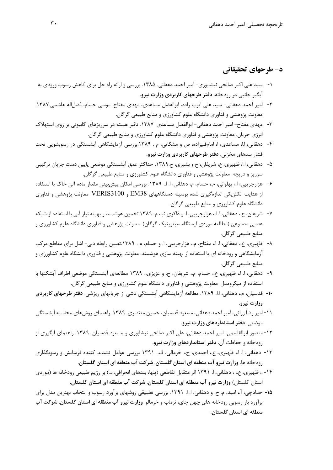#### **د- طرحهاي تحقيقاتي**

- -1 سيد علي اكبر صالحي نيشابوري- امير احمد دهقاني. .1385 بررسي و ارائه راه حل براي كاهش رسوب ورودي به آبگير جانبي در رودخانه. **دفتر طرحهاي كاربردي وزارت نيرو.**
- -2 امير احمد دهقاني- سيد علي ايوب زاده، ابوالفضل مساعدي، مهدي مفتاح، موسي حسام، فضلاله هاشمي.1387. معاونت پژوهشي و فناوري دانشگاه علوم كشاورزي و منابع طبيعي گرگان.
- -3 مهدي مفتاح- امير احمد دهقاني- ابوالفضل مساعدي. .1387 تاثير هسته در سرريزهاي گابيوني بر روي استهلاك انرژي جريان. معاونت پژوهشي و فناوري دانشگاه علوم كشاورزي و منابع طبيعي گرگان.
- -4 دهقاني، ا.ا، مساعدي، ا، امامقليزاده، ص و مشكاتي، م . .1389بررسي آزمايشگاهي آبشستگي در رسوبشويي تحت فشار سدهاي مخزني. **دفتر طرحهاي كاربردي وزارت نيرو.**
- -5 دهقاني، ا.ا، ظهيري، ع، شريفان، ح و بشيري، ح.1389. حداكثر عمق آبشستگي موضعي پايين دست جريان تركيبي سرريز و دريچه. معاونت پژوهشي و فناوري دانشگاه علوم كشاورزي و منابع طبيعي گرگان.
- -6 هزارجريبي، ا،. پهلواني، م،. حسام، م، دهقاني، ا. ا.. .1389 بررسي امكان پيشبيني مقدار ماده آلي خاك با استفاده از هدايت الكتريكي اندازهگيري شده بوسيله دستگاههاي 38EM و 3100VERIS. معاونت پژوهشي و فناوري دانشگاه علوم كشاورزي و منابع طبيعي گرگان.
- -7 شريفان، ح،. دهقاني، ا. ا،. هزارجريبي، ا. و ذاكري نيا، م .1389.تخمين هوشمند و بهينه نياز آبي با استفاده از شبكه عصبي مصنوعي (مطالعه موردي ايستگاه سينوپتيك گرگان). معاونت پژوهشي و فناوري دانشگاه علوم كشاورزي و منابع طبيعي گرگان.
- -8 ظهيري، ع،. دهقاني، ا. ا،. مفتاح، م،. هزارجريبي، ا. و حسام، م . .1389تعيين رابطه دبي- اشل براي مقاطع مركب آزمايشگاهي و رودخانه اي با استفاده از بهينه سازي هوشمند. معاونت پژوهشي و فناوري دانشگاه علوم كشاورزي و منابع طبيعي گرگان.
- -9 دهقاني، ا. ا،. ظهيري، ع،. حسام، م،. شريفان، ح. و عزيزي.، 1389 مطالعهي آبشستگي موضعي اطراف آبشكنها با استفاده از ميكرومدل. معاونت پژوهشي و فناوري دانشگاه علوم كشاورزي و منابع طبيعي گرگان.
- **-10** قدسيان، م،. دهقاني، ا.ا. .1389 مطالعه آزمايشگاهي آبشستگي ناشي از جريانهاي ريزشي. **دفتر طرحهاي كاربردي وزارت نيرو.**
- -11 امير رضا زراتي، امير احمد دهقاني، مسعود قدسيان، حسين منتصري. .1389 راهنماي روشهاي محاسبه آبشستگي موضعي. **دفتر استانداردهاي وزارت نيرو.**
- -12 منصور ابوالقاسمي، امير احمد دهقاني، علي اكبر صالحي نيشابوري و مسعود قدسيان. .1389 راهنماي آبگيري از رودخانه و حفاظت آن. **دفتر استانداردهاي وزارت نيرو.**
- -13 دهقاني، ا. ا،. ظهيري، ع،. احمدي، ح،. خرمالي، ف.. 1391 بررسي عوامل تشديد كننده فرسايش و رسوبگذاري رودخانه ها. **وزارت نيرو آب منطقه اي استان گلستان. شركت آب منطقه اي استان گلستان.**
- -14 ،. ظهيري، ع،. ، دهقاني، ا. 1391 اثر متقابل تقاطعي (پلها، بندهاي انحرافي، ...) بر رژيم طبيعي رودخانه ها (موردي استان گلستان) **وزارت نيرو آب منطقه اي استان گلستان. شركت آب منطقه اي استان گلستان.**
- **-15** حدادچي، آ،. اميد، م. ح. و دهقاني، ا. ا. .1391 بررسي تطبيقي روشهاي برآورد رسوب و انتخاب بهترين مدل براي برآورد بار رسوبي رودخانه هاي چهل چاي، نرماب و خرمالو. **وزارت نيرو آب منطقه اي استان گلستان. شركت آب منطقه اي استان گلستان.**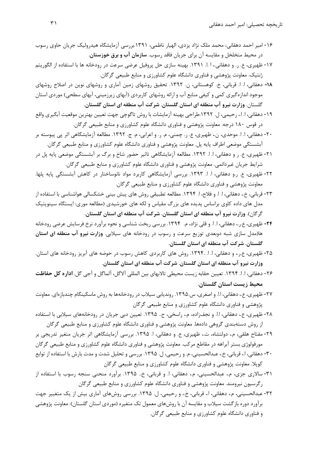- -16 امير احمد دهقاني، محمد ملك نژاد يزدي، الهيار ناظمي، .1391بررسي آزمايشگاه هيدروليك جريان حاوي رسوب در محيط متخلخل و مقايسه آن براي جريان فاقد رسوب. **سازمان آب و برق خوزستان.**
- -17 ظهيري، ع. ر. و دهقاني،. ا .ا. .1391 بهينه سازي حل پروفيل عرضي سرعت در رودخانه ها با استفاده از الگوريتم ژنتيك. معاونت پژوهشي و فناوري دانشگاه علوم كشاورزي و منابع طبيعي گرگان.
- **-18** دهقاني، ا. ا. قرباني، خ. كوهستاني، ن. .1392 تحقيق روشهاي زمين آماري و روشهاي نوين در اصلاح روشهاي موجود اندازهگيري كمي و كيفي منابع آب و ارائه روشهاي كاربردي (آبهاي زيرزميني، آبهاي سطحي) موردي استان گلستان. **وزارت نيرو آب منطقه اي استان گلستان. شركت آب منطقه اي استان گلستان.**
- -19 دهقاني، ا. ا،. رحيمي، ل. .1392طراحي بهينه آزمايشات با روش تاگوچي جهت تعيين بهترين موقعيت آبگيري واقع در قوس 180 درجه. معاونت پژوهشي و فناوري دانشگاه علوم كشاورزي و منابع طبيعي گرگان.
- -20 دهقاني، ا. ا. موحدي، ن،. ظهيري، ع. ر. چمني، م. ر. و اعرابي، م. ج. .1392 مطالعه آزمايشگاهي اثر پي پيوسته بر آبشستگي موضعي اطراف پايه پل. معاونت پژوهشي و فناوري دانشگاه علوم كشاورزي و منابع طبيعي گرگان.
- -21 ظهيري، ع. ر و دهقاني، ا. ا. .1392 مطالعه آزمايشگاهي تاثير حضور شاخ و برگ بر آبشستگي موضعي پايه پل در شرايط جريان غيردائمي. معاونت پژوهشي و فناوري دانشگاه علوم كشاورزي و منابع طبيعي گرگان.
- -22 ظهيري، ع. ر.و دهقاني، ا. ا. .1393 بررسي آزمايشگاهي كاربرد مواد نانوساختار در كاهش آبشستگي پايه پلها. معاونت پژوهشي و فناوري دانشگاه علوم كشاورزي و منابع طبيعي گرگان.
- -23 قرباني، خ،. دهقاني، ا. ا. و فلاح، ا. .1394 مطالعه تطبيقي روش هاي پيش بيني خشكسالي هواشناسي با استفاده از مدل هاي داده كاوي براساس پديده هاي بزرگ مقياس و لكه هاي خورشيدي (مطالعه موري: ايستگاه سينوپتيك گرگان). **وزارت نيرو آب منطقه اي استان گلستان. شركت آب منطقه اي استان گلستان.**
- **-24** ظهيري، ع.ر،. دهقاني، ا. ا. و قلي نژاد، م. .1394 بررسي ريخت شناسي و نحوه برآورد نرخ فرسايش عرضي رودخانه ها(مدل سازي شبه دوبعدي توزيع سرعت و رسوب در رودخانه هاي سيلابي. **وزارت نيرو آب منطقه اي استان گلستان. شركت آب منطقه اي استان گلستان.**
- -25 ظهيري، ع.ر،. و دهقاني، ا. ا. .1394. روش هاي كاربردي كاهش رسوب در حوضه هاي آبريز رودخانه هاي استان. **وزارت نيرو آب منطقه اي استان گلستان. شركت آب منطقه اي استان گلستان**.
- -26 دهقاني، ا. ا. .1394 تعيين حقابه زيست محيطي تالابهاي بين المللي آلاگل، آلماگل و آجي گل. **اداره كل حفاظت محيط زيست استان گلستان.**
- -27 ظهيري، ع،. دهقاني، ا.ا. و اصغري، س.1395. رونديابي سيلاب در رودخانهها به روش ماسكينگام چندبازهاي. معاونت پژوهشي و فناوري دانشگاه علوم كشاورزي و منابع طبيعي گرگان
- ٢٨- ظهيري، ع،. دهقاني، ا.ا. و نجفزاده، م.، راسخي، ح.. ١٣٩۵. تعيين دبي جريان در رودخانههاي سيلابي با استفاده از روش دستهبندي گروهي دادهها. معاونت پژوهشي و فناوري دانشگاه علوم كشاورزي و منابع طبيعي گرگان
- -29 مفتاح هلقي، م،. دولتشاه، ت،. ظهيري، ع. و دهقاني، ا. .1395 بررسي آزمايشگاهي اثر جريان متغير تدريجي بر مورفولوژي بستر آبراهه در مقاطع مركب. معاونت پژوهشي و فناوري دانشگاه علوم كشاورزي و منابع طبيعي گرگان
- -30 دهقاني، ا،. قرباني، خ،. عبدالحسيني، م. و رحيمي، ل. .1395 بررسي و تحليل شدت و مدت بارش با استفاده از توابع كوپلا. معاونت پژوهشي و فناوري دانشگاه علوم كشاورزي و منابع طبيعي گرگان
- -31 سالاري جزي، م،. عبدالحسيني، م،. دهقاني، ا. و قرباني، خ.. .1395 برآورد منحني سنجه رسوب با استفاده از رگرسيون نيرومند. معاونت پژوهشي و فناوري دانشگاه علوم كشاورزي و منابع طبيعي گرگان
- -32 عبدالحسيني، م،. دهقاني، ا،. قرباني، خ،. و رحيمي، ل. .1395 بررسي روشهاي آماري بيش از يك متغيير جهت برآورد دوره بازگشت سيلاب و مقايسه آن با روشهاي معمول تك متغيره (موردي استان گلستان). معاونت پژوهشي و فناوري دانشگاه علوم كشاورزي و منابع طبيعي گرگان.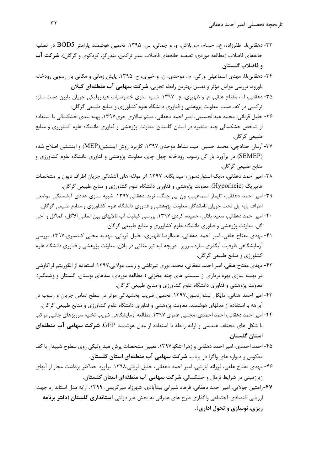- -33 دهقاني،ا،. ظفرزاده، ع،. حسام، م،. بلاش، و. و جمالي، س. .1395 تخمين هوشمند پارامتر 5BOD در تصفيه خانههاي فاضلاب (مطالعه موردي: تصفيه خانههاي فاضلاب بندر تركمن، بندرگز، كردكوي و گرگان). **شركت آب و فاضلاب گلستان**
- -34 دهقاني،ا.ا. مهدي اسماعيلي وركي، م،. موحدي، ن. و خيري، ح. .1395 پايش زماني و مكاني بار رسوبي رودخانه ناورود، بررسي عوامل مؤثر و تعيين بهترين رابطه تجربي. **شركت سهامي آب منطقهاي گيلان**
- -35 دهقاني، ا،.ا، مفتاح هلقي، م. و ظهيري، ع.. .1397 شبيه سازي خصوصيات هيدروليكي جريان پايين دست سازه تركيبي در كف صلب. معاونت پژوهشي و فناوري دانشگاه علوم كشاورزي و منابع طبيعي گرگان.
- -36 خليل قرباني، محمد عبدالحسيني، امير احمد دهقاني، ميثم سالاري جزي.1397 پهنه بندي خشكسالي با استفاده از شاخص خشكسالي چند متغيره در استان گلستان. معاونت پژوهشي و فناوري دانشگاه علوم كشاورزي و منابع طبيعي گرگان.
- -37 آرمان حدادچي، محمد حسين اميد، نشاط موحدي.1397. كاربرد روش اينشتين(MEP (و اينشتين اصلاح شده (SEMEP (در برآورد بار كل رسوب رودخانه چهل چاي. معاونت پژوهشي و فناوري دانشگاه علوم كشاورزي و منابع طبيعي گرگان.
- -38 امير احمد دهقاني، مايك استواردسون، اميد يگانه. .1397 اثر مولفه هاي آشفتگي جريان اطراف ديون بر مشخصات هايپريك (Hyporheic(. معاونت پژوهشي و فناوري دانشگاه علوم كشاورزي و منابع طبيعي گرگان.
- -39 امير احمد دهقاني، تايماز اسماعيلي، ون يي چنگ، نويد دهقاني.1397. شبيه سازي عددي آبشستگي موضعي اطراف پايه پل تحت جريان ناماندگار. معاونت پژوهشي و فناوري دانشگاه علوم كشاورزي و منابع طبيعي گرگان.
- -40 امير احمد دهقاني، سعيد بلالي، حميده كردي.1397. بررسي كيفيت آب تالابهاي بين المللي آلاگل، آلماگل و آجي گل. معاونت پژوهشي و فناوري دانشگاه علوم كشاورزي و منابع طبيعي گرگان.
- -41 مهدي مفتاح هلقي، امير احمد دهقاني، عبدالرضا ظهيري، خليل قرباني، مهديه محبي كندسري.1397. بررسي آزمايشگاهي ظرفيت آبگذري سازه سرريز- دريچه لبه تيز مثلثي در پلان. معاونت پژوهشي و فناوري دانشگاه علوم كشاورزي و منابع طبيعي گرگان.
- -42 مهدي مفتاح هلقي، امير احمد دهقاني، محمد نوري تيرتاشي و زينب مولايي.1397. استفاده از الگوريتم فراكاوشي در بهينه سازي بهره برداري از سيستم هاي چند مخزني ( مطالعه موردي: سدهاي بوستان، گلستان و وشمگير). معاونت پژوهشي و فناوري دانشگاه علوم كشاورزي و منابع طبيعي گرگان.
- -43 امير احمد هقاني، مايكل استواردسون.1397. تخمين ضريب پخشيدگي موثر در سطح تماس جريان و رسوب در آبراهه با استفاده از مدلهاي هوشمند. معاونت پژوهشي و فناوري دانشگاه علوم كشاورزي و منابع طبيعي گرگان.
- -44 امير احمد دهقاني، احمد احمدي، مجتبي عامري.1397. مطالعه آزمايشگاهي ضريب تخليه سرريزهاي جانبي مركب با شكل هاي مختلف هندسي و ارايه رابطه با استفاده از مدل هوشمند GEP. **شركت سهامي آب منطقهاي استان گلستان**.
- -45 احمد احمدي، امير احمد دهقاني و زهرا اشكو.1397. تعيين مشخصات پرش هيدروليكي روي سطوح شيبدار با كف معكوس و ديواره هاي واگرا در پاياب. **شركت سهامي آب منطقهاي استان گلستان**.
- -46 مهدي مفتاح هلقي، فرزانه ابارشي، امير احمد دهقاني، خليل قرباني.1398. برآورد حداكثر برداشت مجاز از آبهاي زيرزميني در شرايط نرمال و خشكسالي. **شركت سهامي آب منطقهاي استان گلستان**.
- **-47**رامتين جولايي، امير احمد دهقاني، فرهاد شيراني بيدآبادي، شهرزاد ميركريمي. .1399 ارايه مدل استاندارد جهت ارزيابي اقتصادي-اجتماعي واگذاري طرح هاي عمراني به بخش غير دولتي. **استانداري گلستان (دفتر برنامه ريزي، نوسازي و تحول اداري).**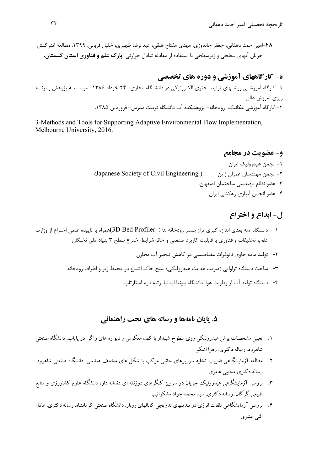**-48**امير احمد دهقاني، جعفر خاندوزي، مهدي مفتاح هلقي، عبدالرضا ظهيري، خليل قرباني. .1399 مطالعه اندركنش جريان آبهاي سطحي و زيرسطحي با استفاده از معادله تبادل حرارتي. **پارك علم و فناوري استان گلستان.** 

# **ه- كارگاههاي آموزشي و دوره هاي تخصصي**

-1 كارگاه آموزشـي روشـهاي توليد محتوي الكترونيكي در دانشـگاه مجازي- 24 خرداد -1386 موسـسـه پژوهش و برنامه ريزي آموزش عالي. -2 كارگاه آموزشي مكانيك رودخانه- پژوهشكده آب دانشگاه تربيت مدرس- فروردين .1385

3-Methods and Tools for Supporting Adaptive Environmental Flow Implementation, Melbourne University, 2016.

# **و- عضويت در مجامع**

-1 انجمن هيدروليك ايران. (Japanese Society of Civil Engineering ) ژاپن عمران مهندسان انجمن -2 -3 عضو نظام مهندسي ساختمان اصفهان. -4 عضو انجمن آبياري زهكشي ايران

# **ل- ابداع و اختراع**

- -1 د ستگاه سه بعدي اندازه گيري تراز ب ستر رودخانه ها ( Profiler Bed D3(همراه با تاييده علمي اختراع از وزارت علوم، تحقيقات و فناوري با قابليت كاربرد صنعتي و حائز شرايط اختراع سطح 3 بنياد ملي نخبگان
	- -2 توليد ماده حاوي نانوذرات مغناطيسي در كاهش تبخير آب مخازن
	- -3 ساخت دستگاه تراوايي (ضريب هدايت هيدروليكي) سنج خاك اشباع در محيط زير و اطراف رودخانه
		- -4 دستگاه توليد آب از رطوبت هوا. دانشگاه بلونيا ايتاليا. رتبه دوم استارتاپ.

#### **.5 پايان نامهها و رساله هاي تحت راهنمائي**

- .1 تعيين مشخصات پرش هيدروليكي روي سطوح شيبدار با كف معكوس و ديواره هاي واگرا در پاياب. دانشگاه صنعتي شاهرود. رساله دكتري. زهرا اشكو
- .2 مطالعه آزمايشگاهي ضريب تخليه سرريزهاي جانبي مركب با شكل هاي مختلف هندسي. دانشگاه صنعتي شاهرود. رساله دكتري مجتبي عامري.
- .3 بررسي آزمايشگاهي هيدروليك جريان در سرريز كنگرهاي ذوزنقه اي دندانه دار، دانشگاه علوم كشاورزي و منابع طبيعي گرگان. رساله دكتري. سيد محمد جواد مشكواتي.
- .4 بررسي آزمايشگاهي تلفات انرژي درتبديلهاي تدريجي كانالهاي روباز. دانشگاه صنعتي كرمانشاه. رسالهدكتري. عادل اثني عشري.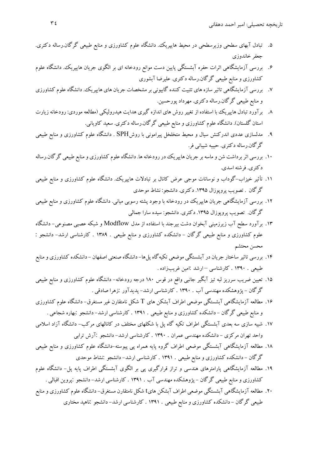تاريخچه تحصيلي: امير احمد دهقاني ٣٤

- .5 تبادل آبهاي سطحي وزيرسطحي در محيط هايپريك. دانشگاه علوم كشاورزي و منابع طبيعي گرگان.رساله دكتري. جعفر خاندوزي
- .6 بررسي آزمايشگاهي اثرات حفره آبشستگي پايين دست موانع رودخانه اي بر الگوي جريان هايپريك. دانشگاه علوم كشاورزي و منابع طبيعي گرگان.رساله دكتري. عليرضا آبشوري
- .7 بررسي آزمايشگاهي تاثير سازههاي تثبيت كننده گابيوني برمشخصات جريان هاي هايپريك.دانشگاهعلوم كشاورزي و منابع طبيعي گرگان.رساله دكتري. مهرداد پورحسين.
- .8 برآورد تبادل هايپريك با استفاده از تغييرروش هاي اندازه گيري هدايت هيدروليكي (مطالعه موردي: رودخانه زيارت استان گلستان). دانشگاه علوم كشاورزي و منابع طبيعي گرگان.رساله دكتري. سعيد كاوياني.
- .9 مدلسازي عددي اندركنش سيال و محيط متخلخل پيراموني با روشSPH . دانشگاه علوم كشاورزي و منابع طبيعي گرگان.رساله دكتري. حبيبه شيباني فر.
- ۱۰. بررسي اثر برداشت شن و ماسه بر جريان هايپريك در رودخانه ها. دانشگاه علوم كشاورزي و منابع طبيعي گرگان.رساله دكتري. فرشته اسدي.
- .11 تأثير خيزاب-گوداب و نوسانات موجي عرض كانال بر تبادلات هايپريك. دانشگاه علوم كشاورزي و منابع طبيعي گرگان . تصويب پروپوزال .1395 دكتري. دانشجو: نشاط موحدي
- .12 بررسي آزمايشگاهي جريان هايپريك در رودخانه با وجود پشته رسوبي مياني. دانشگاه علوم كشاورزي و منابع طبيعي گرگان. تصويب پروپوزال ۱۳۹۵. دكترى. دانشجو: سيده سارا جمالي
- .13 برآورد سطح آب زيرزميني آبخوان دشت بيرجند با استفاده از مدل Modflow و شبكه عصبي مصنوعي- دانشگاه علوم كشاورزي و منابع طبيعي گرگان - دانشكده كشاورزي و منابع طبيعي . 1389 . كارشناسي ارشد- دانشجو : محسن محتشم
- .14 بررسي تاثير ساختار جريان درآبشستگي موضعي تكيهگاه پلها- دانشگاه صنعتي اصفهان دانشكده كشاورزي ومنابع طبيعي . 1390 . كارشناسي – ارشد :امين غريبزاده .
- .15 تعيين ضريب سرريز لبه تيز آبگير جانبي واقع در قوس 180 درجه رودخانه- دانشگاه علوم كشاورزي و منابع طبيعي گرگان - پژوهشكده مهندسي آب . 1390 . كارشناسي ارشد- پديدآور :زهرا صادقي .
- .16 مطالعه آزمايشگاهي آبشستگي موضعي اطراف آبشكن هاي T شكل نامتقارن غير مستغرق- دانشگاه علوم كشاورزي و منابع طبيعي گرگان - دانشكده كشاورزي و منابع طبيعي . 1391 . كارشناسي ارشد- دانشجو :بهاره شجاعي .
- .17 شبيه سازي سه بعدي آبشستگي اطراف تكيه گاه پل با شكلهاي مختلف در كانالهاي مركب- دانشگاه آزاد اسلامي واحد تهران مركزي - دانشكده مهندسي عمران . 1390 . كارشناسي ارشد- دانشجو :آرش ترابي
- .18 مطالعه آزمايشگاهي آبشستگي موضعي اطراف گروه پايه همراه پي پيوسته-دانشگاه علوم كشاورزي و منابع طبيعي گرگان - دانشكده كشاورزي و منابع طبيعي . 1391 . كارشناسي ارشد- دانشجو :نشاط موحدي
- .19 مطالعه آزمايشگاهي پارامترهاي هندسي و تراز قرارگيري پي بر الگوي آبشستگي اطراف پايه پل- دانشگاه علوم كشاورزي و منابع طبيعي گرگان - پژوهشكده مهندسي آب . 1391 . كارشناسي ارشد- دانشجو :پروين اقبالي .
- .20 مطالعه آزمايشگاهي آبشستگي موضعي اطراف آبشكن هايt شكل نامتقارن مستغرق- دانشگاهعلوم كشاورزي ومنابع طبيعي گرگان - دانشكده كشاورزي و منابع طبيعي . 1391 . كارشناسي ارشد- دانشجو :ناهيد مختاري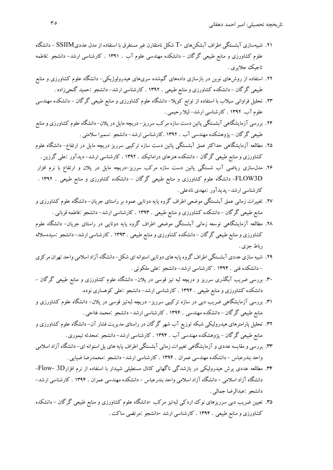- .21 شبيهسازي آبشستگي اطراف آبشكنهاي -T شكل نامتقارن غير مستغرق با استفاده از مدل عدديSSIIM دانشگاه علوم كشاورزي و منابع طبيعي گرگان - دانشكده مهندسي علوم آب . 1391 . كارشناسي ارشد- دانشجو :فاطمه تاجيك جلايري .
- .22 استفاده از روشهاي نوين در بازسازي دادههاي گمشده سريهاي هيدرولوژيكي- دانشگاه علوم كشاورزي و منابع طبيعي گرگان - دانشكده كشاورزي و منابع طبيعي . 1392 . كارشناسي ارشد- دانشجو :حميد گنجيزاده .
- .23 تحليل فراواني سيلاب با استفاده از توابع كوپلا- دانشگاه علوم كشاورزي و منابع طبيعي گرگان دانشكده مهندسي علوم آب. 1392 . كارشناسي ارشد- ليلا رحيمي .
- .24 بررسي آزمايشگاهي آبشستگي پائين دست سازه مركب سرريز- دريچهمايل درپلان- دانشگاهعلوم كشاورزي ومنابع طبيعي گرگان - پژوهشكده مهندسي آب . 1392 .كارشناسي ارشد- دانشجو :سميرا سلامتي .
- .25 مطالعه آزمايشگاهي حداكثر عمق آبشستگي پائين دست سازه تركيبي سرريز دريچه مايل در ارتفاع- دانشگاه علوم كشاورزي و منابع طبيعي گرگان - دانشكده هنرهاي دراماتيك . 1392 . كارشناسي ارشد- ديدآور :علي گرزين .
- .26 مدلسازي رياضي آب شستگي پائين دست سازه مركب سرريز-دريچه مايل در پلان و ارتفاع با نرم افزار D3FLOW- دانشگاه علوم كشاورزي و منابع طبيعي گرگان - دانشكده كشاورزي و منابع طبيعي . 1392 . كارشناسي ارشد- پديدآور :مهدي نادعلي .
- .27 تغييرات زماني عمق آبشستگي موضعي اطراف گروه پايه دوتايي عمود بر راستاي جريان- دانشگاه علوم كشاورزي و منابع طبيعي گرگان - دانشكده كشاورزي و منابع طبيعي . 1393 . كارشناسي ارشد- دانشجو :فاطمه قرباني .
- .28 مطالعه آزمايشگاهي توسعه زماني آبشستگي موضعي اطراف گروه پايه دوتايي در راستاي جريان- دانشگاه علوم كشاورزي ومنابع طبيعي گرگان - دانشكده كشاورزي ومنابع طبيعي . 1393 . كارشناسي ارشد- دانشجو :سيدهسلاله رباط جزي .
- ۲۹. شبيه سازي عددي آبشستگي اطراف گروه پايه هاي دوتايي استوانه اي شكل- دانشگاه آزاد اسلامي واحد تهران مركزي - دانشكده فني . 1394 . كارشناسي ارشد- دانشجو :علي ملكوتي .
- .30 بررسي ضريب آبگذري سرريز و دريچه لبه تيز قوسي در پلان- دانشگاه علوم كشاورزي و منابع طبيعي گرگان دانشكده كشاورزي و منابع طبيعي . 1394 . كارشناسي ارشد- دانشجو :علي كوهساري نوده.
- .31 بررسي آزمايشگاهي ضريب دبي در سازه تركيبي سرريز- دريچه لبهتيز قوسي در پلان- دانشگاه علوم كشاورزي و منابع طبيعي گرگان - دانشكده مهندسي . 1394 . كارشناسي ارشد- دانشجو :محمد فتاحي .
- .32 تحليل پارامترهاي هيدروليكي شبكه توزيع آب شهر گرگان در راستاي مديريت فشار آن- دانشگاه علوم كشاورزي و منابع طبيعي گرگان - پژوهشكده مهندسي آب . 1394 . كارشناسي ارشد- دانشجو :محدثه تيموري .
- .33 بررسي ومقايسهعددي وآزمايشگاهي تغييرات زماني آبشستگي اطراف پايههاي پل استوانهاي- دانشگاهآزاداسلامي واحد بندرعباس - دانشكده مهندسي عمران . 1394 . كارشناسي ارشد- دانشجو :محمدرضا ضيايي .
- .34 مطالعه عددي پرش هيدروليكي در بازشدگي ناگهاني كانال مستطيلي شيبدار با استفاده از نرم افزارD3 -Flow- دانشگاه آزاد اسلامي - دانشگاه آزاد اسلامي واحد بندرعباس - دانشكده مهندسي عمران . 1394 . كارشناسي ارشد- دانشجو :عبدالرضا جمالي .
- .35 تعيين ضريب دبي سرريزهاي نوك اردكي لبهتيز مركب -دانشگاه علوم كشاورزي و منابع طبيعي گرگان دانشكده كشاورزي و منابع طبيعي . 1394 . كارشناسي ارشد -دانشجو :مرتضي ساكت .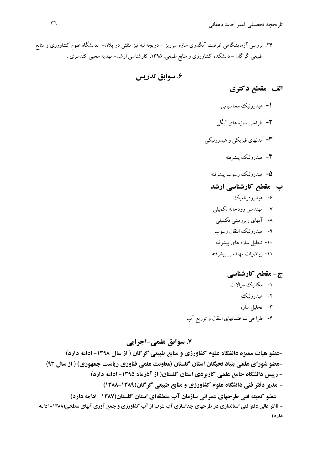.36 بررسي آزمايشگاهي ظرفيت آبگذري سازه سرريز – دريچه لبه تيز مثلثي در پلان- .دانشگاه علوم كشاورزي و منابع طبيعي گرگان - دانشكده كشاورزي و منابع طبيعي. .1395 كارشناسي ارشد- مهديه محبي كندسري .

**.6 سوابق تدريس** 

**الف- مقطع دكتري** 

- **-1** هيدروليك محاسباتي **-2** طراحي سازه هاي آبگير **-3** مدلهاي فيزيكي <sup>و</sup> هيدروليكي **-4** هيدروليك پيشرفته **-5** هيدروليك رسوب پيشرفته **ب- مقطع كارشناسي ارشد**  -6 هيدروديناميك -7 مهندسي رودخانه تكميلي -8 آبهاي زيرزميني تكميلي -9 هيدروليك انتقال رسوب
	- -10 تحليل سازه هاي پيشرفته
	- -11 رياضيات مهندسي پيشرفته

# **ج- مقطع كارشناسي**

- -1 مكانيك سيالات
	- -2 هيدروليك
	- -3 تحليل سازه
- -4 طراحي ساختمانهاي انتقال و توزيع آب

**.7 سوابق علمي-اجرايي -عضو هيات مميزه دانشگاه علوم كشاورزي و منابع طبيعي گرگان ( از سال -1398 ادامه دارد) -عضو شوراي علمي بنياد نخبگان استان گلستان (معاونت علمي فناوري رياست جمهوري) ( از سال 93) - رييس دانشگاه جامع علمي كاربردي استان گلستان( از آذرماه -1395 ادامه دارد)**  - **مدير دفتر فني دانشگاه علوم كشاورزي و منابع طبيعي گرگان(1388-1389) - عضو كميته فني طرحهاي عمراني سازمان آب منطقهاي استان گلستان(-1387 ادامه دارد)**  - ناظر عالی دفتر فنی استانداری در طرحهای جداسازی آب شرب از آب کشاورزی و جمع آوری آبهای سطحی(۱۳۸۸- ادامه **دارد)**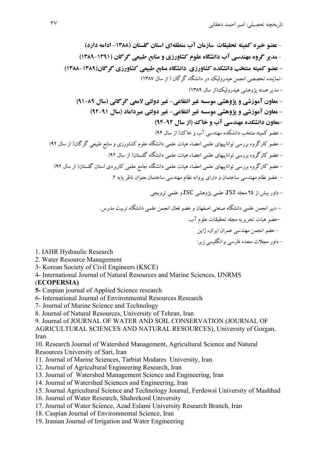- داور مجلات متعدد فارسي وانگليسي زير:

- **عضو خبره كميته تحقيقات سازمان آب منطقهاي استان گلستان (-1388 ادامه دارد)** - **مدير گروه مهندسي آب دانشگاه علوم كشاورزي و منابع طبيعي گرگان (1389-1391) - عضو كميته منتخب دانشكده كشاورزي دانشگاه منابع طبيعي كشاورزي گرگان(1388-1389)**  -نماينده تخصصي انجمن هيدروليك در دانشگاه گرگان ( از سال 1387) - مديرهسته پژوهشي هيدروليك(از سال 1389) **- معاون آموزشي و پژوهشي موسسه غير انتفاعي- غير دولتي لامعي گرگاني (سال 91-89) - معاون آموزشي و پژوهشي موسسه غير انتفاعي- غير دولتي ميرداماد (سال 92-91) -معاون دانشكده مهندسي آب و خاك (از سال 94-92)**  - عضو كميته منتخب دانشكده مهندسي آب و خاك( از سال 92) - عضو كارگروه بررسي تواناييهاي علمي اعضاء هيات علمي دانشگاه علوم كشاورزي و منابع طبيعي گرگان( از سال 92) - عضو كارگروه بررسي تواناييهاي علمي اعضاء هيات علمي دانشگاه گلستان( از سال 92) - عضو كارگروه بررسي تواناييهاي علمي اعضاء هيات علمي دانشگاه جامع علمي كاربردي استان گلستان( از سال 92) - عضو نظام مهندسي ساختمان وداراي پروانه نظام مهندسي ساختمان بعنوان ناظرپايه .2 - داور بيش از 25 مجله ISI، علمي پژوهشي ISC و علمي ترويجي **-** دبيرانجمن علمي دانشگاه صنعتي اصفهان و عضو فعال انجمن علمي دانشگاه تربيت مدرس. -عضو هيات تحريريه مجله تحقيقات علوم آب. - عضو انجمن مهندسي عمران ايران، ژاپن

1. IAHR Hydraulic Research

- 2. Water Resource Management
- 3- Korean Society of Civil Engineers (KSCE)
- 4- International Journal of Natural Resources and Marine Sciences, IJNRMS

### (**ECOPERSIA)**

- **5-** Caspian journal of Applied Science research
- 6- International Journal of Environmental Resources Research
- 7- Journal of Marine Science and Technology
- 8. Journal of Natural Resources, University of Tehran, Iran
- 9. Journal of JOURNAL OF WATER AND SOIL CONSERVATION (JOURNAL OF

AGRICULTURAL SCIENCES AND NATURAL RESOURCES), University of Gorgan, Iran

10. Research Journal of Watershed Management, Agricultural Science and Natural Resources University of Sari, Iran

- 11. Journal of Marine Sciences, Tarbiat Modares University, Iran
- 12. Journal of Agricultural Engineering Research, Iran
- 13. Journal of Watershed Management Science and Engineering, Iran
- 14. Journal of Watershed Sciences and Engineering, Iran
- 15. Journal Agricultural Science and Technology Journal, Ferdowsi University of Mashhad
- 16. Journal of Water Research, Shahrekord University
- 17. Journal of Water Science, Azad Eslami University Research Branch, Iran
- 18. Caspian Journal of Environmental Science, Iran
- 19. Iranian Journal of Irrigation and Water Engineering